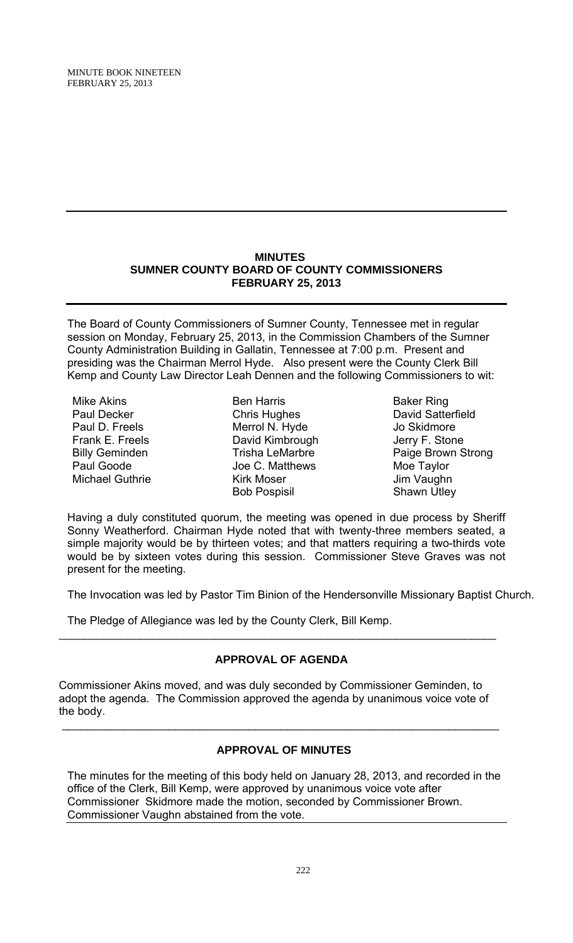### **MINUTES SUMNER COUNTY BOARD OF COUNTY COMMISSIONERS FEBRUARY 25, 2013**

The Board of County Commissioners of Sumner County, Tennessee met in regular session on Monday, February 25, 2013, in the Commission Chambers of the Sumner County Administration Building in Gallatin, Tennessee at 7:00 p.m. Present and presiding was the Chairman Merrol Hyde. Also present were the County Clerk Bill Kemp and County Law Director Leah Dennen and the following Commissioners to wit:

Mike Akins Paul Decker Paul D. Freels Frank E. Freels Billy Geminden Paul Goode Michael Guthrie

Ben Harris Chris Hughes Merrol N. Hyde David Kimbrough Trisha LeMarbre Joe C. Matthews Kirk Moser Bob Pospisil

Baker Ring David Satterfield Jo Skidmore Jerry F. Stone Paige Brown Strong Moe Taylor Jim Vaughn Shawn Utley

Having a duly constituted quorum, the meeting was opened in due process by Sheriff Sonny Weatherford. Chairman Hyde noted that with twenty-three members seated, a simple majority would be by thirteen votes; and that matters requiring a two-thirds vote would be by sixteen votes during this session. Commissioner Steve Graves was not present for the meeting.

The Invocation was led by Pastor Tim Binion of the Hendersonville Missionary Baptist Church.

The Pledge of Allegiance was led by the County Clerk, Bill Kemp.

# **APPROVAL OF AGENDA**

 $\_$ 

Commissioner Akins moved, and was duly seconded by Commissioner Geminden, to adopt the agenda. The Commission approved the agenda by unanimous voice vote of the body.

### **APPROVAL OF MINUTES**

\_\_\_\_\_\_\_\_\_\_\_\_\_\_\_\_\_\_\_\_\_\_\_\_\_\_\_\_\_\_\_\_\_\_\_\_\_\_\_\_\_\_\_\_\_\_\_\_\_\_\_\_\_\_\_\_\_\_\_\_\_\_\_\_\_\_\_\_\_\_

The minutes for the meeting of this body held on January 28, 2013, and recorded in the office of the Clerk, Bill Kemp, were approved by unanimous voice vote after Commissioner Skidmore made the motion, seconded by Commissioner Brown. Commissioner Vaughn abstained from the vote.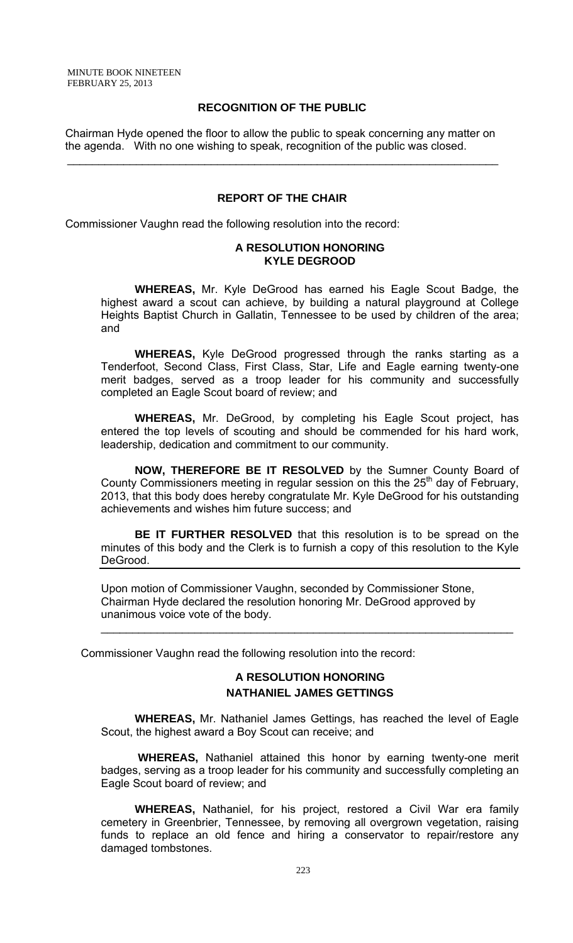### **RECOGNITION OF THE PUBLIC**

 Chairman Hyde opened the floor to allow the public to speak concerning any matter on the agenda. With no one wishing to speak, recognition of the public was closed.

 $\mathcal{L}_\text{max}$  and  $\mathcal{L}_\text{max}$  and  $\mathcal{L}_\text{max}$  and  $\mathcal{L}_\text{max}$  and  $\mathcal{L}_\text{max}$  and  $\mathcal{L}_\text{max}$ 

#### **REPORT OF THE CHAIR**

Commissioner Vaughn read the following resolution into the record:

#### **A RESOLUTION HONORING KYLE DEGROOD**

**WHEREAS,** Mr. Kyle DeGrood has earned his Eagle Scout Badge, the highest award a scout can achieve, by building a natural playground at College Heights Baptist Church in Gallatin, Tennessee to be used by children of the area; and

 **WHEREAS,** Kyle DeGrood progressed through the ranks starting as a Tenderfoot, Second Class, First Class, Star, Life and Eagle earning twenty-one merit badges, served as a troop leader for his community and successfully completed an Eagle Scout board of review; and

**WHEREAS,** Mr. DeGrood, by completing his Eagle Scout project, has entered the top levels of scouting and should be commended for his hard work, leadership, dedication and commitment to our community.

**NOW, THEREFORE BE IT RESOLVED** by the Sumner County Board of County Commissioners meeting in regular session on this the  $25<sup>th</sup>$  day of February, 2013, that this body does hereby congratulate Mr. Kyle DeGrood for his outstanding achievements and wishes him future success; and

**BE IT FURTHER RESOLVED** that this resolution is to be spread on the minutes of this body and the Clerk is to furnish a copy of this resolution to the Kyle DeGrood.

Upon motion of Commissioner Vaughn, seconded by Commissioner Stone, Chairman Hyde declared the resolution honoring Mr. DeGrood approved by unanimous voice vote of the body.

Commissioner Vaughn read the following resolution into the record:

## **A RESOLUTION HONORING NATHANIEL JAMES GETTINGS**

 $\mathcal{L}_\text{max} = \mathcal{L}_\text{max} = \mathcal{L}_\text{max} = \mathcal{L}_\text{max} = \mathcal{L}_\text{max} = \mathcal{L}_\text{max} = \mathcal{L}_\text{max} = \mathcal{L}_\text{max} = \mathcal{L}_\text{max} = \mathcal{L}_\text{max} = \mathcal{L}_\text{max} = \mathcal{L}_\text{max} = \mathcal{L}_\text{max} = \mathcal{L}_\text{max} = \mathcal{L}_\text{max} = \mathcal{L}_\text{max} = \mathcal{L}_\text{max} = \mathcal{L}_\text{max} = \mathcal{$ 

 **WHEREAS,** Mr. Nathaniel James Gettings, has reached the level of Eagle Scout, the highest award a Boy Scout can receive; and

 **WHEREAS,** Nathaniel attained this honor by earning twenty-one merit badges, serving as a troop leader for his community and successfully completing an Eagle Scout board of review; and

**WHEREAS,** Nathaniel, for his project, restored a Civil War era family cemetery in Greenbrier, Tennessee, by removing all overgrown vegetation, raising funds to replace an old fence and hiring a conservator to repair/restore any damaged tombstones.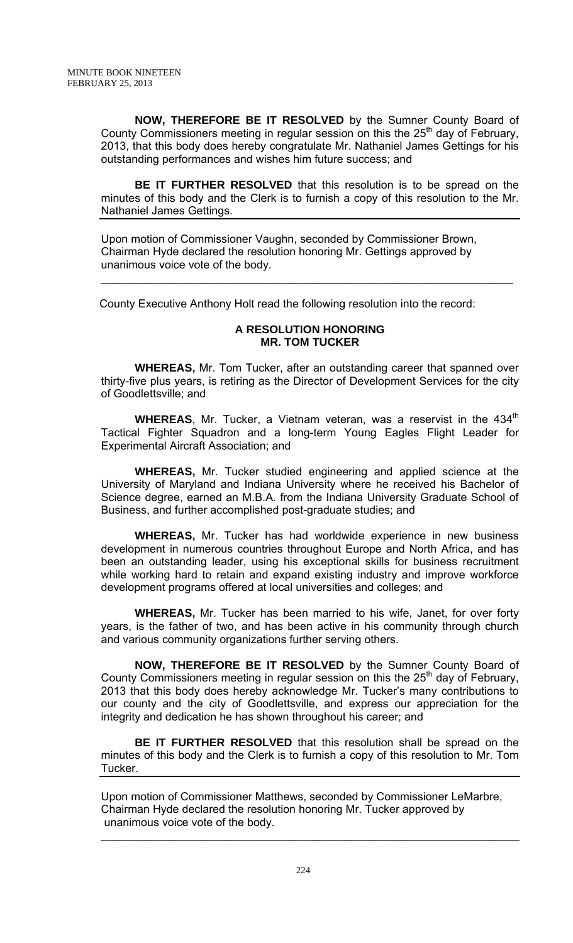**NOW, THEREFORE BE IT RESOLVED** by the Sumner County Board of County Commissioners meeting in regular session on this the  $25<sup>th</sup>$  day of February, 2013, that this body does hereby congratulate Mr. Nathaniel James Gettings for his outstanding performances and wishes him future success; and

**BE IT FURTHER RESOLVED** that this resolution is to be spread on the minutes of this body and the Clerk is to furnish a copy of this resolution to the Mr. Nathaniel James Gettings.

Upon motion of Commissioner Vaughn, seconded by Commissioner Brown, Chairman Hyde declared the resolution honoring Mr. Gettings approved by unanimous voice vote of the body.

County Executive Anthony Holt read the following resolution into the record:

### **A RESOLUTION HONORING MR. TOM TUCKER**

 $\mathcal{L}_\text{max} = \mathcal{L}_\text{max} = \mathcal{L}_\text{max} = \mathcal{L}_\text{max} = \mathcal{L}_\text{max} = \mathcal{L}_\text{max} = \mathcal{L}_\text{max} = \mathcal{L}_\text{max} = \mathcal{L}_\text{max} = \mathcal{L}_\text{max} = \mathcal{L}_\text{max} = \mathcal{L}_\text{max} = \mathcal{L}_\text{max} = \mathcal{L}_\text{max} = \mathcal{L}_\text{max} = \mathcal{L}_\text{max} = \mathcal{L}_\text{max} = \mathcal{L}_\text{max} = \mathcal{$ 

 **WHEREAS,** Mr. Tom Tucker, after an outstanding career that spanned over thirty-five plus years, is retiring as the Director of Development Services for the city of Goodlettsville; and

**WHEREAS**, Mr. Tucker, a Vietnam veteran, was a reservist in the 434<sup>th</sup> Tactical Fighter Squadron and a long-term Young Eagles Flight Leader for Experimental Aircraft Association; and

**WHEREAS,** Mr. Tucker studied engineering and applied science at the University of Maryland and Indiana University where he received his Bachelor of Science degree, earned an M.B.A. from the Indiana University Graduate School of Business, and further accomplished post-graduate studies; and

**WHEREAS,** Mr. Tucker has had worldwide experience in new business development in numerous countries throughout Europe and North Africa, and has been an outstanding leader, using his exceptional skills for business recruitment while working hard to retain and expand existing industry and improve workforce development programs offered at local universities and colleges; and

**WHEREAS,** Mr. Tucker has been married to his wife, Janet, for over forty years, is the father of two, and has been active in his community through church and various community organizations further serving others.

**NOW, THEREFORE BE IT RESOLVED** by the Sumner County Board of County Commissioners meeting in regular session on this the  $25<sup>th</sup>$  day of February, 2013 that this body does hereby acknowledge Mr. Tucker's many contributions to our county and the city of Goodlettsville, and express our appreciation for the integrity and dedication he has shown throughout his career; and

**BE IT FURTHER RESOLVED** that this resolution shall be spread on the minutes of this body and the Clerk is to furnish a copy of this resolution to Mr. Tom Tucker.

Upon motion of Commissioner Matthews, seconded by Commissioner LeMarbre, Chairman Hyde declared the resolution honoring Mr. Tucker approved by unanimous voice vote of the body.

 $\mathcal{L}_\mathcal{L} = \mathcal{L}_\mathcal{L} = \mathcal{L}_\mathcal{L} = \mathcal{L}_\mathcal{L} = \mathcal{L}_\mathcal{L} = \mathcal{L}_\mathcal{L} = \mathcal{L}_\mathcal{L} = \mathcal{L}_\mathcal{L} = \mathcal{L}_\mathcal{L} = \mathcal{L}_\mathcal{L} = \mathcal{L}_\mathcal{L} = \mathcal{L}_\mathcal{L} = \mathcal{L}_\mathcal{L} = \mathcal{L}_\mathcal{L} = \mathcal{L}_\mathcal{L} = \mathcal{L}_\mathcal{L} = \mathcal{L}_\mathcal{L}$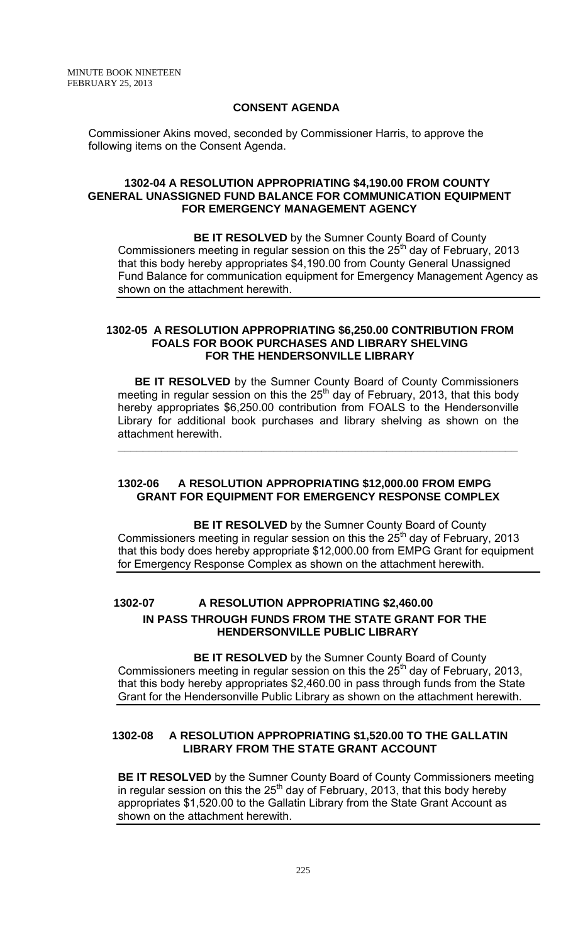### **CONSENT AGENDA**

Commissioner Akins moved, seconded by Commissioner Harris, to approve the following items on the Consent Agenda.

### **1302-04 A RESOLUTION APPROPRIATING \$4,190.00 FROM COUNTY GENERAL UNASSIGNED FUND BALANCE FOR COMMUNICATION EQUIPMENT FOR EMERGENCY MANAGEMENT AGENCY**

**BE IT RESOLVED** by the Sumner County Board of County Commissioners meeting in regular session on this the  $25<sup>th</sup>$  day of February, 2013 that this body hereby appropriates \$4,190.00 from County General Unassigned Fund Balance for communication equipment for Emergency Management Agency as shown on the attachment herewith.

#### **1302-05 A RESOLUTION APPROPRIATING \$6,250.00 CONTRIBUTION FROM FOALS FOR BOOK PURCHASES AND LIBRARY SHELVING FOR THE HENDERSONVILLE LIBRARY**

 **BE IT RESOLVED** by the Sumner County Board of County Commissioners meeting in regular session on this the  $25<sup>th</sup>$  day of February, 2013, that this body hereby appropriates \$6,250.00 contribution from FOALS to the Hendersonville Library for additional book purchases and library shelving as shown on the attachment herewith.

**\_\_\_\_\_\_\_\_\_\_\_\_\_\_\_\_\_\_\_\_\_\_\_\_\_\_\_\_\_\_\_\_\_\_\_\_\_\_\_\_\_\_\_\_\_\_\_\_\_\_\_\_\_\_\_\_\_\_\_\_\_\_\_\_**

### **1302-06 A RESOLUTION APPROPRIATING \$12,000.00 FROM EMPG GRANT FOR EQUIPMENT FOR EMERGENCY RESPONSE COMPLEX**

 **BE IT RESOLVED** by the Sumner County Board of County Commissioners meeting in regular session on this the  $25<sup>th</sup>$  day of February, 2013 that this body does hereby appropriate \$12,000.00 from EMPG Grant for equipment for Emergency Response Complex as shown on the attachment herewith.

## **1302-07 A RESOLUTION APPROPRIATING \$2,460.00 IN PASS THROUGH FUNDS FROM THE STATE GRANT FOR THE HENDERSONVILLE PUBLIC LIBRARY**

 **BE IT RESOLVED** by the Sumner County Board of County Commissioners meeting in regular session on this the  $25<sup>th</sup>$  day of February, 2013, that this body hereby appropriates \$2,460.00 in pass through funds from the State Grant for the Hendersonville Public Library as shown on the attachment herewith.

### **1302-08 A RESOLUTION APPROPRIATING \$1,520.00 TO THE GALLATIN LIBRARY FROM THE STATE GRANT ACCOUNT**

**BE IT RESOLVED** by the Sumner County Board of County Commissioners meeting in regular session on this the  $25<sup>th</sup>$  day of February, 2013, that this body hereby appropriates \$1,520.00 to the Gallatin Library from the State Grant Account as shown on the attachment herewith.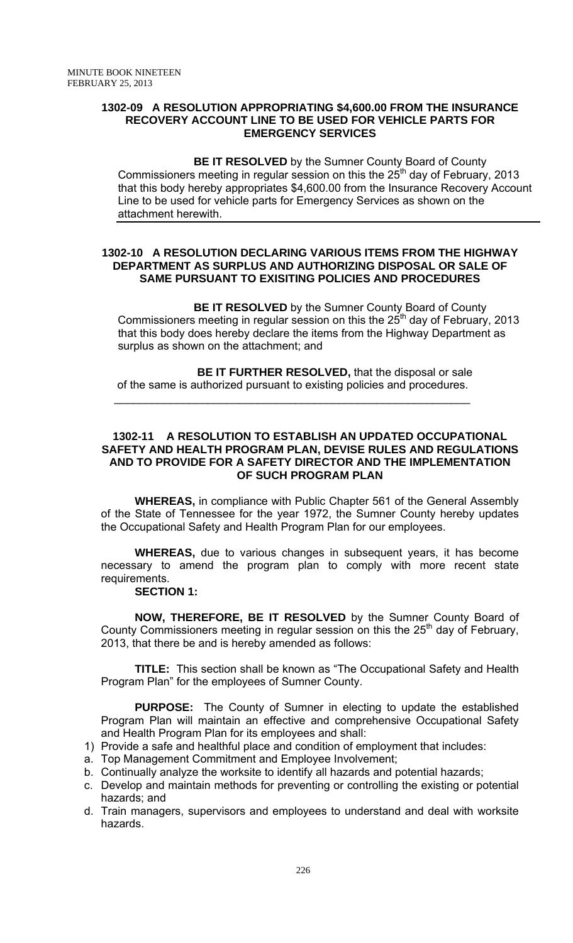### **1302-09 A RESOLUTION APPROPRIATING \$4,600.00 FROM THE INSURANCE RECOVERY ACCOUNT LINE TO BE USED FOR VEHICLE PARTS FOR EMERGENCY SERVICES**

**BE IT RESOLVED** by the Sumner County Board of County Commissioners meeting in regular session on this the  $25<sup>th</sup>$  day of February, 2013 that this body hereby appropriates \$4,600.00 from the Insurance Recovery Account Line to be used for vehicle parts for Emergency Services as shown on the attachment herewith.

### **1302-10 A RESOLUTION DECLARING VARIOUS ITEMS FROM THE HIGHWAY DEPARTMENT AS SURPLUS AND AUTHORIZING DISPOSAL OR SALE OF SAME PURSUANT TO EXISITING POLICIES AND PROCEDURES**

**BE IT RESOLVED** by the Sumner County Board of County Commissioners meeting in regular session on this the  $25<sup>th</sup>$  day of February, 2013 that this body does hereby declare the items from the Highway Department as surplus as shown on the attachment; and

 **BE IT FURTHER RESOLVED,** that the disposal or sale of the same is authorized pursuant to existing policies and procedures.

 $\mathcal{L}_\text{max} = \frac{1}{2} \sum_{i=1}^{n} \frac{1}{2} \sum_{i=1}^{n} \frac{1}{2} \sum_{i=1}^{n} \frac{1}{2} \sum_{i=1}^{n} \frac{1}{2} \sum_{i=1}^{n} \frac{1}{2} \sum_{i=1}^{n} \frac{1}{2} \sum_{i=1}^{n} \frac{1}{2} \sum_{i=1}^{n} \frac{1}{2} \sum_{i=1}^{n} \frac{1}{2} \sum_{i=1}^{n} \frac{1}{2} \sum_{i=1}^{n} \frac{1}{2} \sum_{i=1}^{n} \frac{1$ 

### **1302-11 A RESOLUTION TO ESTABLISH AN UPDATED OCCUPATIONAL SAFETY AND HEALTH PROGRAM PLAN, DEVISE RULES AND REGULATIONS AND TO PROVIDE FOR A SAFETY DIRECTOR AND THE IMPLEMENTATION OF SUCH PROGRAM PLAN**

 **WHEREAS,** in compliance with Public Chapter 561 of the General Assembly of the State of Tennessee for the year 1972, the Sumner County hereby updates the Occupational Safety and Health Program Plan for our employees.

**WHEREAS,** due to various changes in subsequent years, it has become necessary to amend the program plan to comply with more recent state requirements.

### **SECTION 1:**

**NOW, THEREFORE, BE IT RESOLVED** by the Sumner County Board of County Commissioners meeting in regular session on this the  $25<sup>th</sup>$  day of February, 2013, that there be and is hereby amended as follows:

**TITLE:** This section shall be known as "The Occupational Safety and Health Program Plan" for the employees of Sumner County.

**PURPOSE:** The County of Sumner in electing to update the established Program Plan will maintain an effective and comprehensive Occupational Safety and Health Program Plan for its employees and shall:

- 1) Provide a safe and healthful place and condition of employment that includes:
- a. Top Management Commitment and Employee Involvement;
- b. Continually analyze the worksite to identify all hazards and potential hazards;
- c. Develop and maintain methods for preventing or controlling the existing or potential hazards; and
- d. Train managers, supervisors and employees to understand and deal with worksite hazards.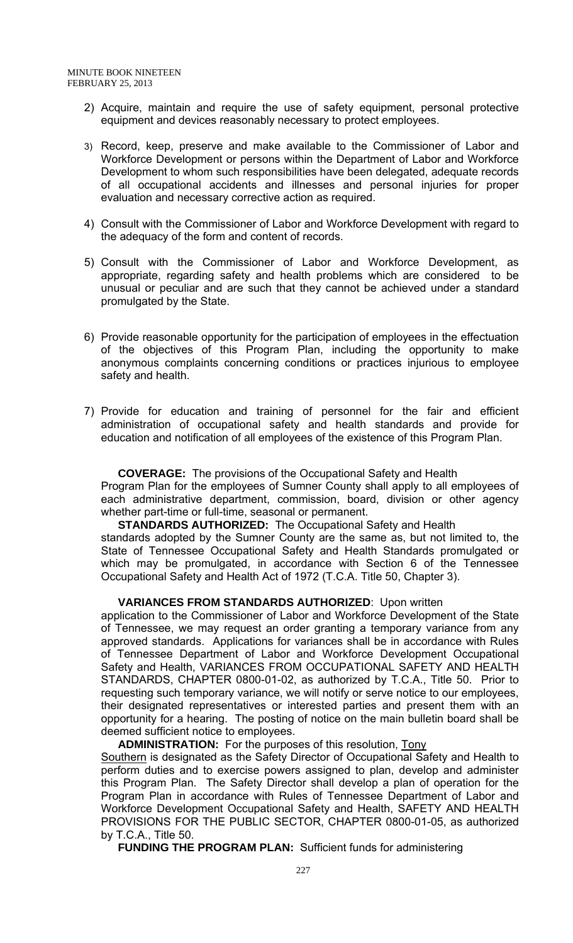- 2) Acquire, maintain and require the use of safety equipment, personal protective equipment and devices reasonably necessary to protect employees.
- 3) Record, keep, preserve and make available to the Commissioner of Labor and Workforce Development or persons within the Department of Labor and Workforce Development to whom such responsibilities have been delegated, adequate records of all occupational accidents and illnesses and personal injuries for proper evaluation and necessary corrective action as required.
- 4) Consult with the Commissioner of Labor and Workforce Development with regard to the adequacy of the form and content of records.
- 5) Consult with the Commissioner of Labor and Workforce Development, as appropriate, regarding safety and health problems which are considered to be unusual or peculiar and are such that they cannot be achieved under a standard promulgated by the State.
- 6) Provide reasonable opportunity for the participation of employees in the effectuation of the objectives of this Program Plan, including the opportunity to make anonymous complaints concerning conditions or practices injurious to employee safety and health.
- 7) Provide for education and training of personnel for the fair and efficient administration of occupational safety and health standards and provide for education and notification of all employees of the existence of this Program Plan.

**COVERAGE:** The provisions of the Occupational Safety and Health

Program Plan for the employees of Sumner County shall apply to all employees of each administrative department, commission, board, division or other agency whether part-time or full-time, seasonal or permanent.

**STANDARDS AUTHORIZED:** The Occupational Safety and Health standards adopted by the Sumner County are the same as, but not limited to, the

State of Tennessee Occupational Safety and Health Standards promulgated or which may be promulgated, in accordance with Section 6 of the Tennessee Occupational Safety and Health Act of 1972 (T.C.A. Title 50, Chapter 3).

### **VARIANCES FROM STANDARDS AUTHORIZED**: Upon written

application to the Commissioner of Labor and Workforce Development of the State of Tennessee, we may request an order granting a temporary variance from any approved standards. Applications for variances shall be in accordance with Rules of Tennessee Department of Labor and Workforce Development Occupational Safety and Health, VARIANCES FROM OCCUPATIONAL SAFETY AND HEALTH STANDARDS, CHAPTER 0800-01-02, as authorized by T.C.A., Title 50. Prior to requesting such temporary variance, we will notify or serve notice to our employees, their designated representatives or interested parties and present them with an opportunity for a hearing. The posting of notice on the main bulletin board shall be deemed sufficient notice to employees.

**ADMINISTRATION:** For the purposes of this resolution, Tony

Southern is designated as the Safety Director of Occupational Safety and Health to perform duties and to exercise powers assigned to plan, develop and administer this Program Plan. The Safety Director shall develop a plan of operation for the Program Plan in accordance with Rules of Tennessee Department of Labor and Workforce Development Occupational Safety and Health, SAFETY AND HEALTH PROVISIONS FOR THE PUBLIC SECTOR, CHAPTER 0800-01-05, as authorized by T.C.A., Title 50.

**FUNDING THE PROGRAM PLAN:** Sufficient funds for administering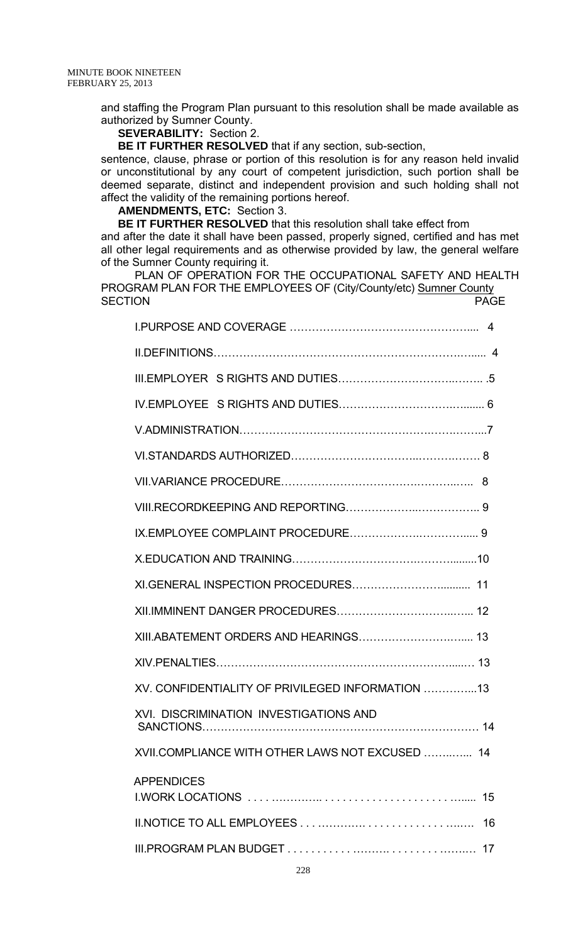and staffing the Program Plan pursuant to this resolution shall be made available as authorized by Sumner County.

### **SEVERABILITY:** Section 2.

**BE IT FURTHER RESOLVED** that if any section, sub-section,

sentence, clause, phrase or portion of this resolution is for any reason held invalid or unconstitutional by any court of competent jurisdiction, such portion shall be deemed separate, distinct and independent provision and such holding shall not affect the validity of the remaining portions hereof.

#### **AMENDMENTS, ETC:** Section 3.

**BE IT FURTHER RESOLVED** that this resolution shall take effect from and after the date it shall have been passed, properly signed, certified and has met all other legal requirements and as otherwise provided by law, the general welfare of the Sumner County requiring it.

PLAN OF OPERATION FOR THE OCCUPATIONAL SAFETY AND HEALTH PROGRAM PLAN FOR THE EMPLOYEES OF (City/County/etc) Sumner County SECTION **PAGE** 

| XV. CONFIDENTIALITY OF PRIVILEGED INFORMATION 13 |
|--------------------------------------------------|
| <b>XVI. DISCRIMINATION INVESTIGATIONS AND</b>    |
| XVII.COMPLIANCE WITH OTHER LAWS NOT EXCUSED  14  |
| <b>APPENDICES</b><br>15                          |
| 16                                               |
| 17                                               |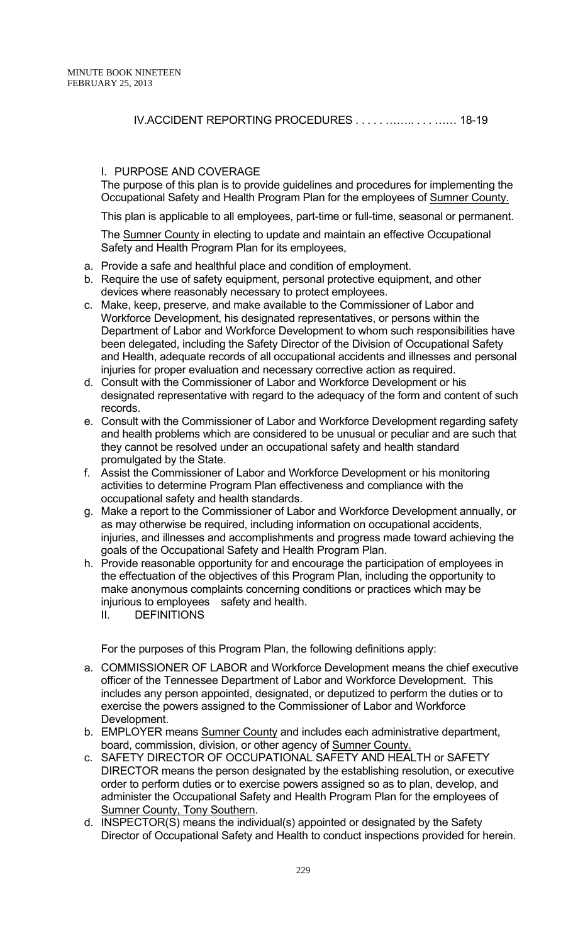IV.ACCIDENT REPORTING PROCEDURES . . . . . …….. . . . …… 18-19

### I. PURPOSE AND COVERAGE

The purpose of this plan is to provide guidelines and procedures for implementing the Occupational Safety and Health Program Plan for the employees of Sumner County.

This plan is applicable to all employees, part-time or full-time, seasonal or permanent.

The Sumner County in electing to update and maintain an effective Occupational Safety and Health Program Plan for its employees,

- a. Provide a safe and healthful place and condition of employment.
- b. Require the use of safety equipment, personal protective equipment, and other devices where reasonably necessary to protect employees.
- c. Make, keep, preserve, and make available to the Commissioner of Labor and Workforce Development, his designated representatives, or persons within the Department of Labor and Workforce Development to whom such responsibilities have been delegated, including the Safety Director of the Division of Occupational Safety and Health, adequate records of all occupational accidents and illnesses and personal injuries for proper evaluation and necessary corrective action as required.
- d. Consult with the Commissioner of Labor and Workforce Development or his designated representative with regard to the adequacy of the form and content of such records.
- e. Consult with the Commissioner of Labor and Workforce Development regarding safety and health problems which are considered to be unusual or peculiar and are such that they cannot be resolved under an occupational safety and health standard promulgated by the State.
- f. Assist the Commissioner of Labor and Workforce Development or his monitoring activities to determine Program Plan effectiveness and compliance with the occupational safety and health standards.
- g. Make a report to the Commissioner of Labor and Workforce Development annually, or as may otherwise be required, including information on occupational accidents, injuries, and illnesses and accomplishments and progress made toward achieving the goals of the Occupational Safety and Health Program Plan.
- h. Provide reasonable opportunity for and encourage the participation of employees in the effectuation of the objectives of this Program Plan, including the opportunity to make anonymous complaints concerning conditions or practices which may be injurious to employees safety and health.
	- II. DEFINITIONS

For the purposes of this Program Plan, the following definitions apply:

- a. COMMISSIONER OF LABOR and Workforce Development means the chief executive officer of the Tennessee Department of Labor and Workforce Development. This includes any person appointed, designated, or deputized to perform the duties or to exercise the powers assigned to the Commissioner of Labor and Workforce Development.
- b. EMPLOYER means Sumner County and includes each administrative department, board, commission, division, or other agency of Sumner County.
- c. SAFETY DIRECTOR OF OCCUPATIONAL SAFETY AND HEALTH or SAFETY DIRECTOR means the person designated by the establishing resolution, or executive order to perform duties or to exercise powers assigned so as to plan, develop, and administer the Occupational Safety and Health Program Plan for the employees of Sumner County, Tony Southern.
- d. INSPECTOR(S) means the individual(s) appointed or designated by the Safety Director of Occupational Safety and Health to conduct inspections provided for herein.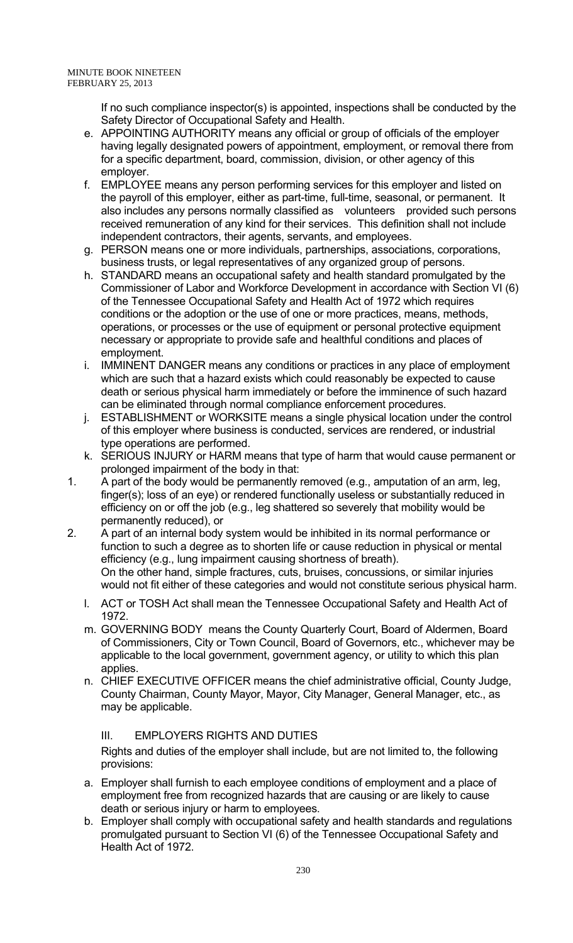If no such compliance inspector(s) is appointed, inspections shall be conducted by the Safety Director of Occupational Safety and Health.

- e. APPOINTING AUTHORITY means any official or group of officials of the employer having legally designated powers of appointment, employment, or removal there from for a specific department, board, commission, division, or other agency of this employer.
- f. EMPLOYEE means any person performing services for this employer and listed on the payroll of this employer, either as part-time, full-time, seasonal, or permanent. It also includes any persons normally classified as volunteers provided such persons received remuneration of any kind for their services. This definition shall not include independent contractors, their agents, servants, and employees.
- g. PERSON means one or more individuals, partnerships, associations, corporations, business trusts, or legal representatives of any organized group of persons.
- h. STANDARD means an occupational safety and health standard promulgated by the Commissioner of Labor and Workforce Development in accordance with Section VI (6) of the Tennessee Occupational Safety and Health Act of 1972 which requires conditions or the adoption or the use of one or more practices, means, methods, operations, or processes or the use of equipment or personal protective equipment necessary or appropriate to provide safe and healthful conditions and places of employment.
- i. IMMINENT DANGER means any conditions or practices in any place of employment which are such that a hazard exists which could reasonably be expected to cause death or serious physical harm immediately or before the imminence of such hazard can be eliminated through normal compliance enforcement procedures.
- j. ESTABLISHMENT or WORKSITE means a single physical location under the control of this employer where business is conducted, services are rendered, or industrial type operations are performed.
- k. SERIOUS INJURY or HARM means that type of harm that would cause permanent or prolonged impairment of the body in that:
- 1. A part of the body would be permanently removed (e.g., amputation of an arm, leg, finger(s); loss of an eye) or rendered functionally useless or substantially reduced in efficiency on or off the job (e.g., leg shattered so severely that mobility would be permanently reduced), or
- 2. A part of an internal body system would be inhibited in its normal performance or function to such a degree as to shorten life or cause reduction in physical or mental efficiency (e.g., lung impairment causing shortness of breath). On the other hand, simple fractures, cuts, bruises, concussions, or similar injuries would not fit either of these categories and would not constitute serious physical harm.
	- l. ACT or TOSH Act shall mean the Tennessee Occupational Safety and Health Act of 1972.
	- m. GOVERNING BODY means the County Quarterly Court, Board of Aldermen, Board of Commissioners, City or Town Council, Board of Governors, etc., whichever may be applicable to the local government, government agency, or utility to which this plan applies.
	- n. CHIEF EXECUTIVE OFFICER means the chief administrative official, County Judge, County Chairman, County Mayor, Mayor, City Manager, General Manager, etc., as may be applicable.

III. EMPLOYERS RIGHTS AND DUTIES

 Rights and duties of the employer shall include, but are not limited to, the following provisions:

- a. Employer shall furnish to each employee conditions of employment and a place of employment free from recognized hazards that are causing or are likely to cause death or serious injury or harm to employees.
- b. Employer shall comply with occupational safety and health standards and regulations promulgated pursuant to Section VI (6) of the Tennessee Occupational Safety and Health Act of 1972.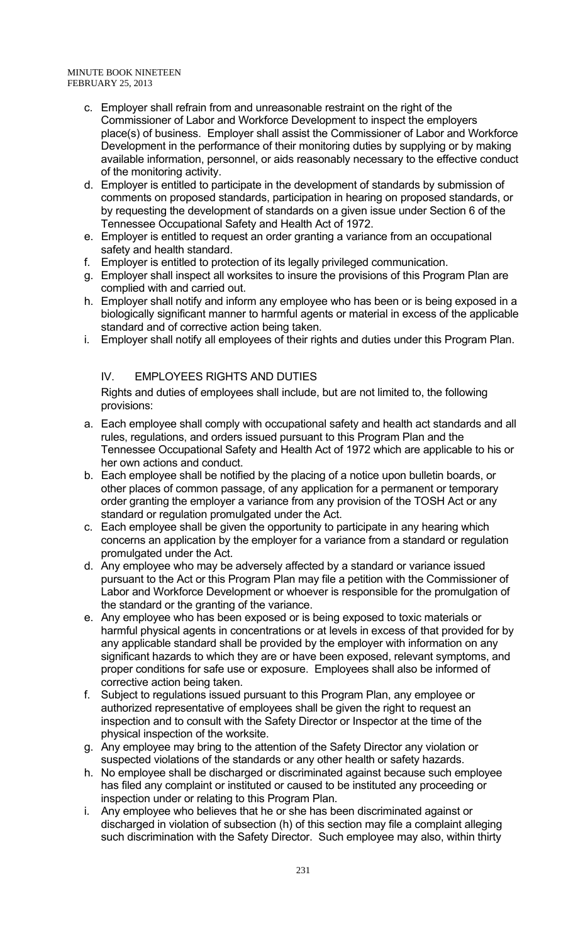- c. Employer shall refrain from and unreasonable restraint on the right of the Commissioner of Labor and Workforce Development to inspect the employers place(s) of business. Employer shall assist the Commissioner of Labor and Workforce Development in the performance of their monitoring duties by supplying or by making available information, personnel, or aids reasonably necessary to the effective conduct of the monitoring activity.
- d. Employer is entitled to participate in the development of standards by submission of comments on proposed standards, participation in hearing on proposed standards, or by requesting the development of standards on a given issue under Section 6 of the Tennessee Occupational Safety and Health Act of 1972.
- e. Employer is entitled to request an order granting a variance from an occupational safety and health standard.
- f. Employer is entitled to protection of its legally privileged communication.
- g. Employer shall inspect all worksites to insure the provisions of this Program Plan are complied with and carried out.
- h. Employer shall notify and inform any employee who has been or is being exposed in a biologically significant manner to harmful agents or material in excess of the applicable standard and of corrective action being taken.
- i. Employer shall notify all employees of their rights and duties under this Program Plan.

# IV. EMPLOYEES RIGHTS AND DUTIES

 Rights and duties of employees shall include, but are not limited to, the following provisions:

- a. Each employee shall comply with occupational safety and health act standards and all rules, regulations, and orders issued pursuant to this Program Plan and the Tennessee Occupational Safety and Health Act of 1972 which are applicable to his or her own actions and conduct.
- b. Each employee shall be notified by the placing of a notice upon bulletin boards, or other places of common passage, of any application for a permanent or temporary order granting the employer a variance from any provision of the TOSH Act or any standard or regulation promulgated under the Act.
- c. Each employee shall be given the opportunity to participate in any hearing which concerns an application by the employer for a variance from a standard or regulation promulgated under the Act.
- d. Any employee who may be adversely affected by a standard or variance issued pursuant to the Act or this Program Plan may file a petition with the Commissioner of Labor and Workforce Development or whoever is responsible for the promulgation of the standard or the granting of the variance.
- e. Any employee who has been exposed or is being exposed to toxic materials or harmful physical agents in concentrations or at levels in excess of that provided for by any applicable standard shall be provided by the employer with information on any significant hazards to which they are or have been exposed, relevant symptoms, and proper conditions for safe use or exposure. Employees shall also be informed of corrective action being taken.
- f. Subject to regulations issued pursuant to this Program Plan, any employee or authorized representative of employees shall be given the right to request an inspection and to consult with the Safety Director or Inspector at the time of the physical inspection of the worksite.
- g. Any employee may bring to the attention of the Safety Director any violation or suspected violations of the standards or any other health or safety hazards.
- h. No employee shall be discharged or discriminated against because such employee has filed any complaint or instituted or caused to be instituted any proceeding or inspection under or relating to this Program Plan.
- i. Any employee who believes that he or she has been discriminated against or discharged in violation of subsection (h) of this section may file a complaint alleging such discrimination with the Safety Director. Such employee may also, within thirty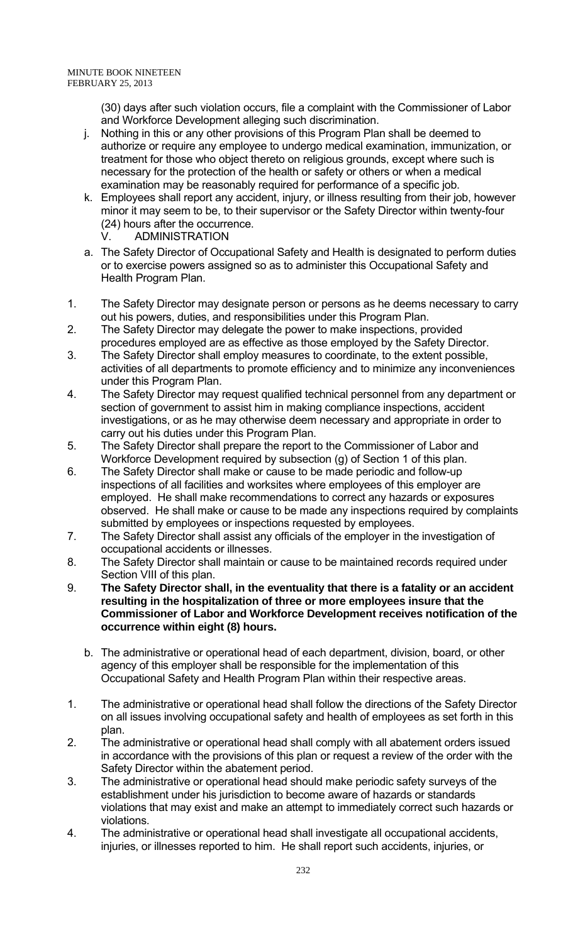(30) days after such violation occurs, file a complaint with the Commissioner of Labor and Workforce Development alleging such discrimination.

- j. Nothing in this or any other provisions of this Program Plan shall be deemed to authorize or require any employee to undergo medical examination, immunization, or treatment for those who object thereto on religious grounds, except where such is necessary for the protection of the health or safety or others or when a medical examination may be reasonably required for performance of a specific job.
- k. Employees shall report any accident, injury, or illness resulting from their job, however minor it may seem to be, to their supervisor or the Safety Director within twenty-four (24) hours after the occurrence.
	- V. ADMINISTRATION
- a. The Safety Director of Occupational Safety and Health is designated to perform duties or to exercise powers assigned so as to administer this Occupational Safety and Health Program Plan.
- 1. The Safety Director may designate person or persons as he deems necessary to carry out his powers, duties, and responsibilities under this Program Plan.
- 2. The Safety Director may delegate the power to make inspections, provided procedures employed are as effective as those employed by the Safety Director.
- 3. The Safety Director shall employ measures to coordinate, to the extent possible, activities of all departments to promote efficiency and to minimize any inconveniences under this Program Plan.
- 4. The Safety Director may request qualified technical personnel from any department or section of government to assist him in making compliance inspections, accident investigations, or as he may otherwise deem necessary and appropriate in order to carry out his duties under this Program Plan.
- 5. The Safety Director shall prepare the report to the Commissioner of Labor and Workforce Development required by subsection (g) of Section 1 of this plan.
- 6. The Safety Director shall make or cause to be made periodic and follow-up inspections of all facilities and worksites where employees of this employer are employed. He shall make recommendations to correct any hazards or exposures observed. He shall make or cause to be made any inspections required by complaints submitted by employees or inspections requested by employees.
- 7. The Safety Director shall assist any officials of the employer in the investigation of occupational accidents or illnesses.
- 8. The Safety Director shall maintain or cause to be maintained records required under Section VIII of this plan.
- 9. **The Safety Director shall, in the eventuality that there is a fatality or an accident resulting in the hospitalization of three or more employees insure that the Commissioner of Labor and Workforce Development receives notification of the occurrence within eight (8) hours.**
	- b. The administrative or operational head of each department, division, board, or other agency of this employer shall be responsible for the implementation of this Occupational Safety and Health Program Plan within their respective areas.
- 1. The administrative or operational head shall follow the directions of the Safety Director on all issues involving occupational safety and health of employees as set forth in this plan.
- 2. The administrative or operational head shall comply with all abatement orders issued in accordance with the provisions of this plan or request a review of the order with the Safety Director within the abatement period.
- 3. The administrative or operational head should make periodic safety surveys of the establishment under his jurisdiction to become aware of hazards or standards violations that may exist and make an attempt to immediately correct such hazards or violations.
- 4. The administrative or operational head shall investigate all occupational accidents, injuries, or illnesses reported to him. He shall report such accidents, injuries, or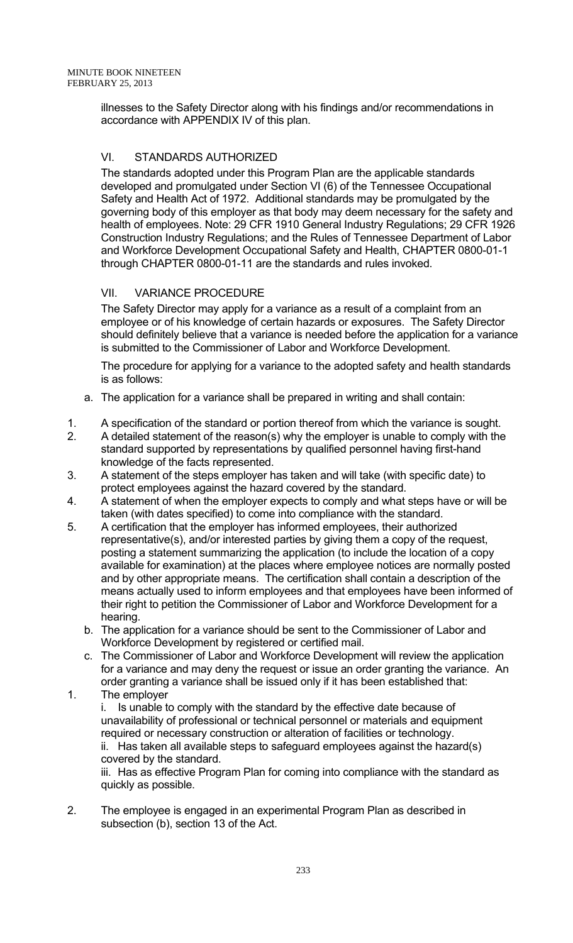illnesses to the Safety Director along with his findings and/or recommendations in accordance with APPENDIX IV of this plan.

# VI. STANDARDS AUTHORIZED

The standards adopted under this Program Plan are the applicable standards developed and promulgated under Section VI (6) of the Tennessee Occupational Safety and Health Act of 1972. Additional standards may be promulgated by the governing body of this employer as that body may deem necessary for the safety and health of employees. Note: 29 CFR 1910 General Industry Regulations; 29 CFR 1926 Construction Industry Regulations; and the Rules of Tennessee Department of Labor and Workforce Development Occupational Safety and Health, CHAPTER 0800-01-1 through CHAPTER 0800-01-11 are the standards and rules invoked.

# VII. VARIANCE PROCEDURE

 The Safety Director may apply for a variance as a result of a complaint from an employee or of his knowledge of certain hazards or exposures. The Safety Director should definitely believe that a variance is needed before the application for a variance is submitted to the Commissioner of Labor and Workforce Development.

 The procedure for applying for a variance to the adopted safety and health standards is as follows:

- a. The application for a variance shall be prepared in writing and shall contain:
- 1. A specification of the standard or portion thereof from which the variance is sought.
- 2. A detailed statement of the reason(s) why the employer is unable to comply with the standard supported by representations by qualified personnel having first-hand knowledge of the facts represented.
- 3. A statement of the steps employer has taken and will take (with specific date) to protect employees against the hazard covered by the standard.
- 4. A statement of when the employer expects to comply and what steps have or will be taken (with dates specified) to come into compliance with the standard.
- 5. A certification that the employer has informed employees, their authorized representative(s), and/or interested parties by giving them a copy of the request, posting a statement summarizing the application (to include the location of a copy available for examination) at the places where employee notices are normally posted and by other appropriate means. The certification shall contain a description of the means actually used to inform employees and that employees have been informed of their right to petition the Commissioner of Labor and Workforce Development for a hearing.
	- b. The application for a variance should be sent to the Commissioner of Labor and Workforce Development by registered or certified mail.
	- c. The Commissioner of Labor and Workforce Development will review the application for a variance and may deny the request or issue an order granting the variance. An order granting a variance shall be issued only if it has been established that:
- 1. The employer i. Is unable to comply with the standard by the effective date because of unavailability of professional or technical personnel or materials and equipment required or necessary construction or alteration of facilities or technology. ii. Has taken all available steps to safeguard employees against the hazard(s) covered by the standard. iii. Has as effective Program Plan for coming into compliance with the standard as

quickly as possible.

 2. The employee is engaged in an experimental Program Plan as described in subsection (b), section 13 of the Act.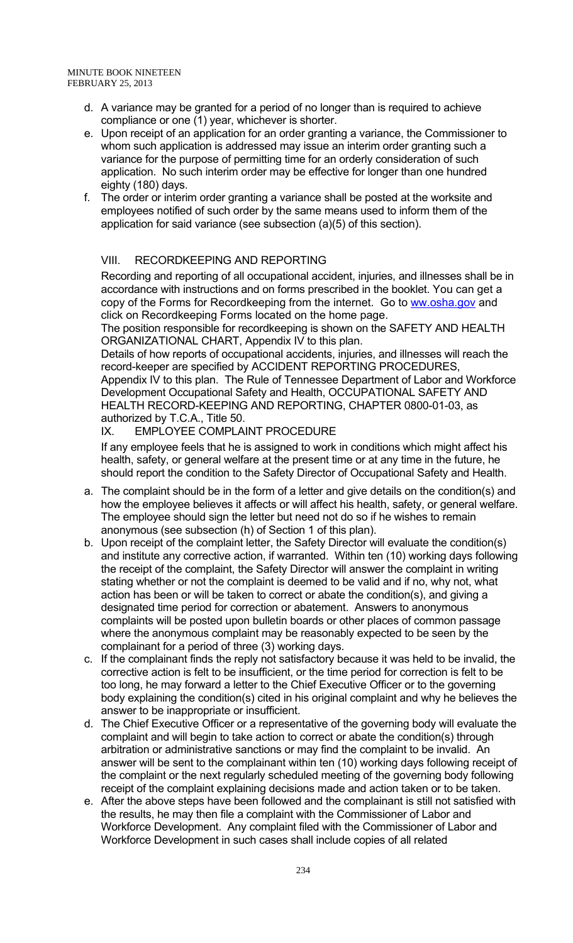- d. A variance may be granted for a period of no longer than is required to achieve compliance or one (1) year, whichever is shorter.
- e. Upon receipt of an application for an order granting a variance, the Commissioner to whom such application is addressed may issue an interim order granting such a variance for the purpose of permitting time for an orderly consideration of such application. No such interim order may be effective for longer than one hundred eighty (180) days.
- f. The order or interim order granting a variance shall be posted at the worksite and employees notified of such order by the same means used to inform them of the application for said variance (see subsection (a)(5) of this section).

## VIII. RECORDKEEPING AND REPORTING

Recording and reporting of all occupational accident, injuries, and illnesses shall be in accordance with instructions and on forms prescribed in the booklet. You can get a copy of the Forms for Recordkeeping from the internet. Go to ww.osha.gov and click on Recordkeeping Forms located on the home page.

The position responsible for recordkeeping is shown on the SAFETY AND HEALTH ORGANIZATIONAL CHART, Appendix IV to this plan.

Details of how reports of occupational accidents, injuries, and illnesses will reach the record-keeper are specified by ACCIDENT REPORTING PROCEDURES, Appendix IV to this plan. The Rule of Tennessee Department of Labor and Workforce Development Occupational Safety and Health, OCCUPATIONAL SAFETY AND HEALTH RECORD-KEEPING AND REPORTING, CHAPTER 0800-01-03, as authorized by T.C.A., Title 50.

IX. EMPLOYEE COMPLAINT PROCEDURE

 If any employee feels that he is assigned to work in conditions which might affect his health, safety, or general welfare at the present time or at any time in the future, he should report the condition to the Safety Director of Occupational Safety and Health.

- a. The complaint should be in the form of a letter and give details on the condition(s) and how the employee believes it affects or will affect his health, safety, or general welfare. The employee should sign the letter but need not do so if he wishes to remain anonymous (see subsection (h) of Section 1 of this plan).
- b. Upon receipt of the complaint letter, the Safety Director will evaluate the condition(s) and institute any corrective action, if warranted. Within ten (10) working days following the receipt of the complaint, the Safety Director will answer the complaint in writing stating whether or not the complaint is deemed to be valid and if no, why not, what action has been or will be taken to correct or abate the condition(s), and giving a designated time period for correction or abatement. Answers to anonymous complaints will be posted upon bulletin boards or other places of common passage where the anonymous complaint may be reasonably expected to be seen by the complainant for a period of three (3) working days.
- c. If the complainant finds the reply not satisfactory because it was held to be invalid, the corrective action is felt to be insufficient, or the time period for correction is felt to be too long, he may forward a letter to the Chief Executive Officer or to the governing body explaining the condition(s) cited in his original complaint and why he believes the answer to be inappropriate or insufficient.
- d. The Chief Executive Officer or a representative of the governing body will evaluate the complaint and will begin to take action to correct or abate the condition(s) through arbitration or administrative sanctions or may find the complaint to be invalid. An answer will be sent to the complainant within ten (10) working days following receipt of the complaint or the next regularly scheduled meeting of the governing body following receipt of the complaint explaining decisions made and action taken or to be taken.
- e. After the above steps have been followed and the complainant is still not satisfied with the results, he may then file a complaint with the Commissioner of Labor and Workforce Development. Any complaint filed with the Commissioner of Labor and Workforce Development in such cases shall include copies of all related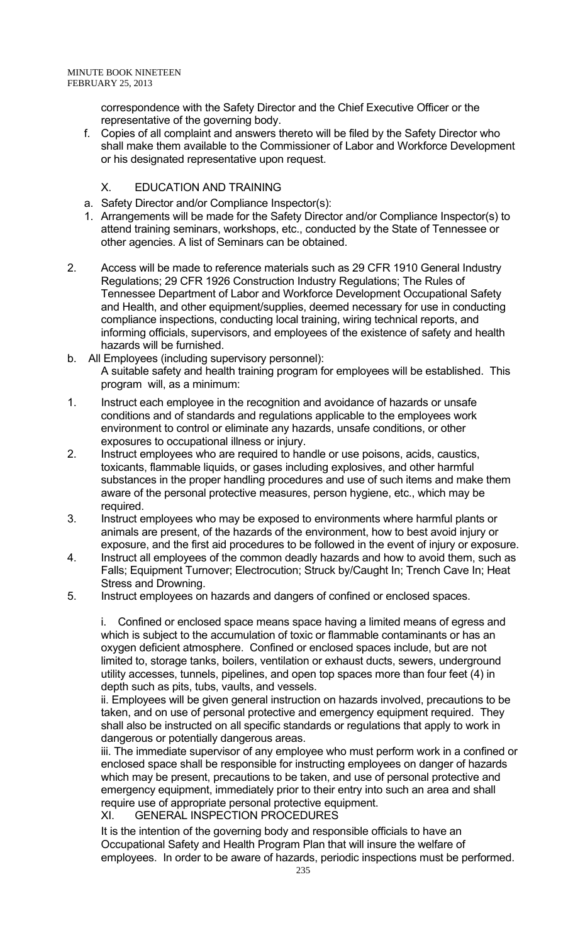correspondence with the Safety Director and the Chief Executive Officer or the representative of the governing body.

 f. Copies of all complaint and answers thereto will be filed by the Safety Director who shall make them available to the Commissioner of Labor and Workforce Development or his designated representative upon request.

# X. EDUCATION AND TRAINING

- a. Safety Director and/or Compliance Inspector(s):
- 1. Arrangements will be made for the Safety Director and/or Compliance Inspector(s) to attend training seminars, workshops, etc., conducted by the State of Tennessee or other agencies. A list of Seminars can be obtained.
- 2. Access will be made to reference materials such as 29 CFR 1910 General Industry Regulations; 29 CFR 1926 Construction Industry Regulations; The Rules of Tennessee Department of Labor and Workforce Development Occupational Safety and Health, and other equipment/supplies, deemed necessary for use in conducting compliance inspections, conducting local training, wiring technical reports, and informing officials, supervisors, and employees of the existence of safety and health hazards will be furnished.
- b. All Employees (including supervisory personnel): A suitable safety and health training program for employees will be established. This program will, as a minimum:
- 1. Instruct each employee in the recognition and avoidance of hazards or unsafe conditions and of standards and regulations applicable to the employees work environment to control or eliminate any hazards, unsafe conditions, or other exposures to occupational illness or injury.
- 2. Instruct employees who are required to handle or use poisons, acids, caustics, toxicants, flammable liquids, or gases including explosives, and other harmful substances in the proper handling procedures and use of such items and make them aware of the personal protective measures, person hygiene, etc., which may be required.
- 3. Instruct employees who may be exposed to environments where harmful plants or animals are present, of the hazards of the environment, how to best avoid injury or exposure, and the first aid procedures to be followed in the event of injury or exposure.
- 4. Instruct all employees of the common deadly hazards and how to avoid them, such as Falls; Equipment Turnover; Electrocution; Struck by/Caught In; Trench Cave In; Heat Stress and Drowning.
- 5. Instruct employees on hazards and dangers of confined or enclosed spaces.

 i. Confined or enclosed space means space having a limited means of egress and which is subject to the accumulation of toxic or flammable contaminants or has an oxygen deficient atmosphere. Confined or enclosed spaces include, but are not limited to, storage tanks, boilers, ventilation or exhaust ducts, sewers, underground utility accesses, tunnels, pipelines, and open top spaces more than four feet (4) in depth such as pits, tubs, vaults, and vessels.

 ii. Employees will be given general instruction on hazards involved, precautions to be taken, and on use of personal protective and emergency equipment required. They shall also be instructed on all specific standards or regulations that apply to work in dangerous or potentially dangerous areas.

 iii. The immediate supervisor of any employee who must perform work in a confined or enclosed space shall be responsible for instructing employees on danger of hazards which may be present, precautions to be taken, and use of personal protective and emergency equipment, immediately prior to their entry into such an area and shall require use of appropriate personal protective equipment.

XI. GENERAL INSPECTION PROCEDURES

 It is the intention of the governing body and responsible officials to have an Occupational Safety and Health Program Plan that will insure the welfare of employees. In order to be aware of hazards, periodic inspections must be performed.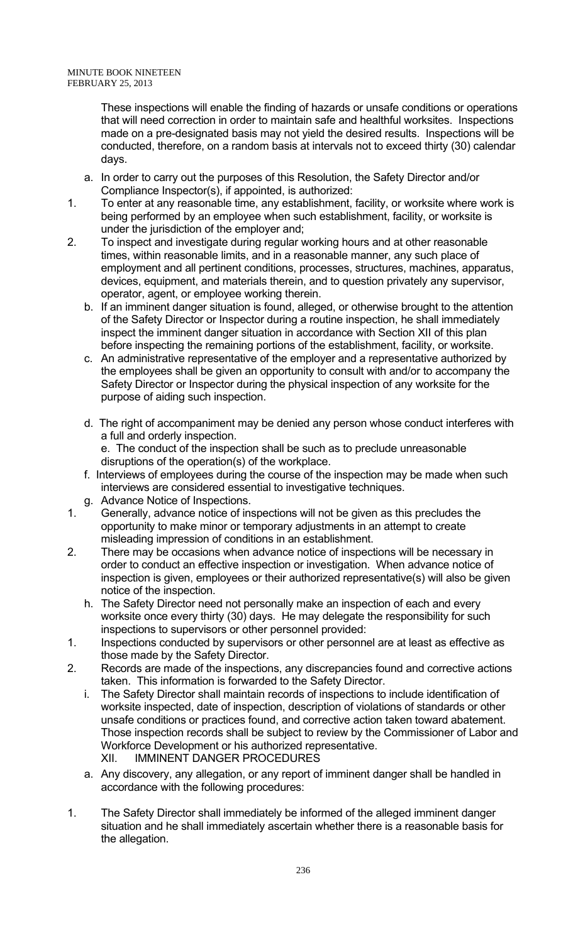These inspections will enable the finding of hazards or unsafe conditions or operations that will need correction in order to maintain safe and healthful worksites. Inspections made on a pre-designated basis may not yield the desired results. Inspections will be conducted, therefore, on a random basis at intervals not to exceed thirty (30) calendar days.

- a. In order to carry out the purposes of this Resolution, the Safety Director and/or Compliance Inspector(s), if appointed, is authorized:
- 1. To enter at any reasonable time, any establishment, facility, or worksite where work is being performed by an employee when such establishment, facility, or worksite is under the jurisdiction of the employer and;
- 2. To inspect and investigate during regular working hours and at other reasonable times, within reasonable limits, and in a reasonable manner, any such place of employment and all pertinent conditions, processes, structures, machines, apparatus, devices, equipment, and materials therein, and to question privately any supervisor, operator, agent, or employee working therein.
	- b. If an imminent danger situation is found, alleged, or otherwise brought to the attention of the Safety Director or Inspector during a routine inspection, he shall immediately inspect the imminent danger situation in accordance with Section XII of this plan before inspecting the remaining portions of the establishment, facility, or worksite.
	- c. An administrative representative of the employer and a representative authorized by the employees shall be given an opportunity to consult with and/or to accompany the Safety Director or Inspector during the physical inspection of any worksite for the purpose of aiding such inspection.
	- d. The right of accompaniment may be denied any person whose conduct interferes with a full and orderly inspection.

e. The conduct of the inspection shall be such as to preclude unreasonable disruptions of the operation(s) of the workplace.

- f. Interviews of employees during the course of the inspection may be made when such interviews are considered essential to investigative techniques.
- g. Advance Notice of Inspections.
- 1. Generally, advance notice of inspections will not be given as this precludes the opportunity to make minor or temporary adjustments in an attempt to create misleading impression of conditions in an establishment.
- 2. There may be occasions when advance notice of inspections will be necessary in order to conduct an effective inspection or investigation. When advance notice of inspection is given, employees or their authorized representative(s) will also be given notice of the inspection.
	- h. The Safety Director need not personally make an inspection of each and every worksite once every thirty (30) days. He may delegate the responsibility for such inspections to supervisors or other personnel provided:
- 1. Inspections conducted by supervisors or other personnel are at least as effective as those made by the Safety Director.
- 2. Records are made of the inspections, any discrepancies found and corrective actions taken. This information is forwarded to the Safety Director.
	- i. The Safety Director shall maintain records of inspections to include identification of worksite inspected, date of inspection, description of violations of standards or other unsafe conditions or practices found, and corrective action taken toward abatement. Those inspection records shall be subject to review by the Commissioner of Labor and Workforce Development or his authorized representative. XII. IMMINENT DANGER PROCEDURES
	- a. Any discovery, any allegation, or any report of imminent danger shall be handled in accordance with the following procedures:
- 1. The Safety Director shall immediately be informed of the alleged imminent danger situation and he shall immediately ascertain whether there is a reasonable basis for the allegation.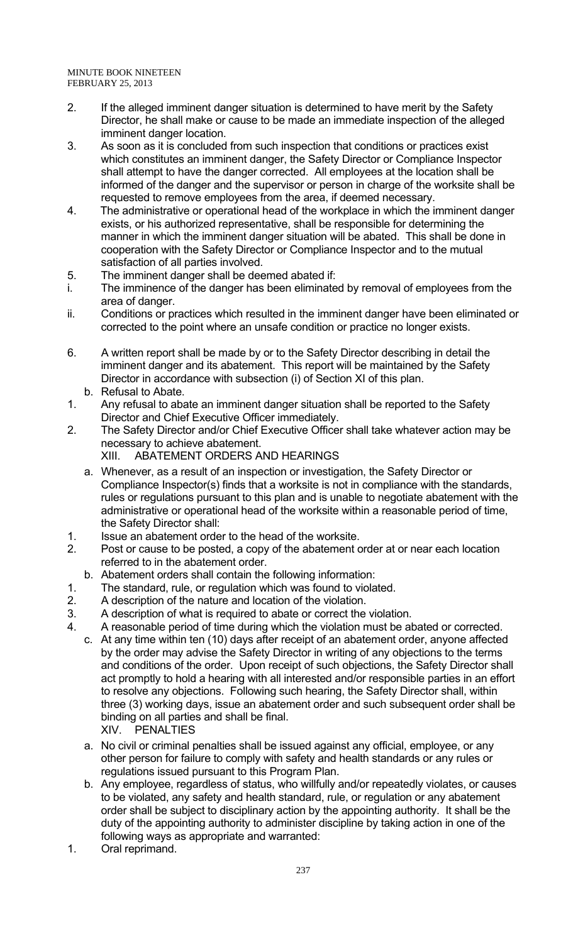- 2. If the alleged imminent danger situation is determined to have merit by the Safety Director, he shall make or cause to be made an immediate inspection of the alleged imminent danger location.
- 3. As soon as it is concluded from such inspection that conditions or practices exist which constitutes an imminent danger, the Safety Director or Compliance Inspector shall attempt to have the danger corrected. All employees at the location shall be informed of the danger and the supervisor or person in charge of the worksite shall be requested to remove employees from the area, if deemed necessary.
- 4. The administrative or operational head of the workplace in which the imminent danger exists, or his authorized representative, shall be responsible for determining the manner in which the imminent danger situation will be abated. This shall be done in cooperation with the Safety Director or Compliance Inspector and to the mutual satisfaction of all parties involved.
- 5. The imminent danger shall be deemed abated if:
- i. The imminence of the danger has been eliminated by removal of employees from the area of danger.
- ii. Conditions or practices which resulted in the imminent danger have been eliminated or corrected to the point where an unsafe condition or practice no longer exists.
- 6. A written report shall be made by or to the Safety Director describing in detail the imminent danger and its abatement. This report will be maintained by the Safety Director in accordance with subsection (i) of Section XI of this plan.
- b. Refusal to Abate.
- 1. Any refusal to abate an imminent danger situation shall be reported to the Safety Director and Chief Executive Officer immediately.
- 2. The Safety Director and/or Chief Executive Officer shall take whatever action may be necessary to achieve abatement. XIII. ABATEMENT ORDERS AND HEARINGS
	- a. Whenever, as a result of an inspection or investigation, the Safety Director or Compliance Inspector(s) finds that a worksite is not in compliance with the standards, rules or regulations pursuant to this plan and is unable to negotiate abatement with the administrative or operational head of the worksite within a reasonable period of time, the Safety Director shall:
- 1. Issue an abatement order to the head of the worksite.
- 2. Post or cause to be posted, a copy of the abatement order at or near each location referred to in the abatement order.
	- b. Abatement orders shall contain the following information:
- 1. The standard, rule, or regulation which was found to violated.
- 2. A description of the nature and location of the violation.
- 3. A description of what is required to abate or correct the violation.
- 4. A reasonable period of time during which the violation must be abated or corrected.
	- c. At any time within ten (10) days after receipt of an abatement order, anyone affected by the order may advise the Safety Director in writing of any objections to the terms and conditions of the order. Upon receipt of such objections, the Safety Director shall act promptly to hold a hearing with all interested and/or responsible parties in an effort to resolve any objections. Following such hearing, the Safety Director shall, within three (3) working days, issue an abatement order and such subsequent order shall be binding on all parties and shall be final. XIV. PENALTIES
		- a. No civil or criminal penalties shall be issued against any official, employee, or any other person for failure to comply with safety and health standards or any rules or regulations issued pursuant to this Program Plan.
		- b. Any employee, regardless of status, who willfully and/or repeatedly violates, or causes to be violated, any safety and health standard, rule, or regulation or any abatement order shall be subject to disciplinary action by the appointing authority. It shall be the duty of the appointing authority to administer discipline by taking action in one of the following ways as appropriate and warranted:
- 1. Oral reprimand.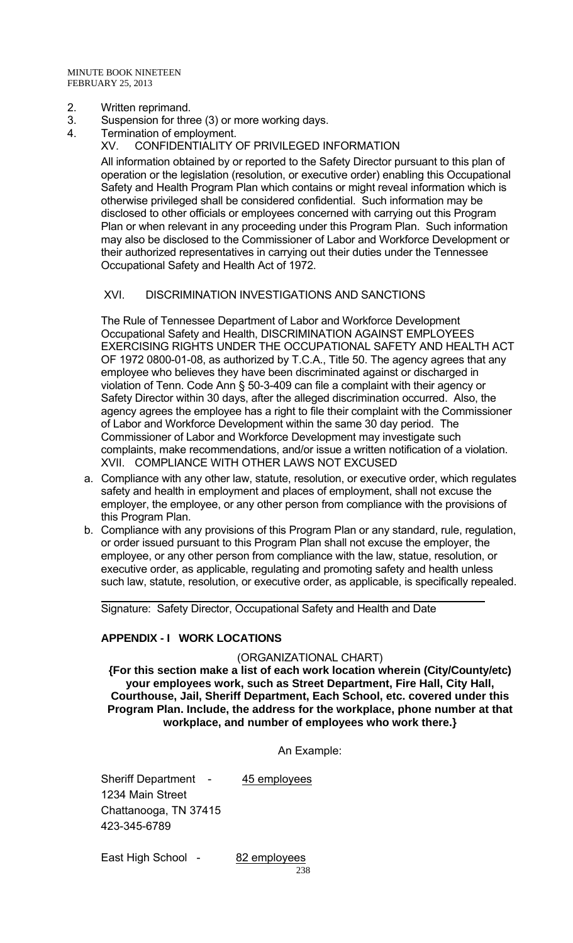- 2. Written reprimand.
- 3. Suspension for three (3) or more working days.
- 4. Termination of employment.
	- XV. CONFIDENTIALITY OF PRIVILEGED INFORMATION

 All information obtained by or reported to the Safety Director pursuant to this plan of operation or the legislation (resolution, or executive order) enabling this Occupational Safety and Health Program Plan which contains or might reveal information which is otherwise privileged shall be considered confidential. Such information may be disclosed to other officials or employees concerned with carrying out this Program Plan or when relevant in any proceeding under this Program Plan. Such information may also be disclosed to the Commissioner of Labor and Workforce Development or their authorized representatives in carrying out their duties under the Tennessee Occupational Safety and Health Act of 1972.

### XVI. DISCRIMINATION INVESTIGATIONS AND SANCTIONS

The Rule of Tennessee Department of Labor and Workforce Development Occupational Safety and Health, DISCRIMINATION AGAINST EMPLOYEES EXERCISING RIGHTS UNDER THE OCCUPATIONAL SAFETY AND HEALTH ACT OF 1972 0800-01-08, as authorized by T.C.A., Title 50. The agency agrees that any employee who believes they have been discriminated against or discharged in violation of Tenn. Code Ann § 50-3-409 can file a complaint with their agency or Safety Director within 30 days, after the alleged discrimination occurred. Also, the agency agrees the employee has a right to file their complaint with the Commissioner of Labor and Workforce Development within the same 30 day period. The Commissioner of Labor and Workforce Development may investigate such complaints, make recommendations, and/or issue a written notification of a violation. XVII. COMPLIANCE WITH OTHER LAWS NOT EXCUSED

- a. Compliance with any other law, statute, resolution, or executive order, which regulates safety and health in employment and places of employment, shall not excuse the employer, the employee, or any other person from compliance with the provisions of this Program Plan.
- b. Compliance with any provisions of this Program Plan or any standard, rule, regulation, or order issued pursuant to this Program Plan shall not excuse the employer, the employee, or any other person from compliance with the law, statue, resolution, or executive order, as applicable, regulating and promoting safety and health unless such law, statute, resolution, or executive order, as applicable, is specifically repealed.

Signature: Safety Director, Occupational Safety and Health and Date

## **APPENDIX - I WORK LOCATIONS**

#### (ORGANIZATIONAL CHART)

**{For this section make a list of each work location wherein (City/County/etc) your employees work, such as Street Department, Fire Hall, City Hall, Courthouse, Jail, Sheriff Department, Each School, etc. covered under this Program Plan. Include, the address for the workplace, phone number at that workplace, and number of employees who work there.}** 

An Example:

Sheriff Department - 45 employees 1234 Main Street Chattanooga, TN 37415 423-345-6789

East High School - 82 employees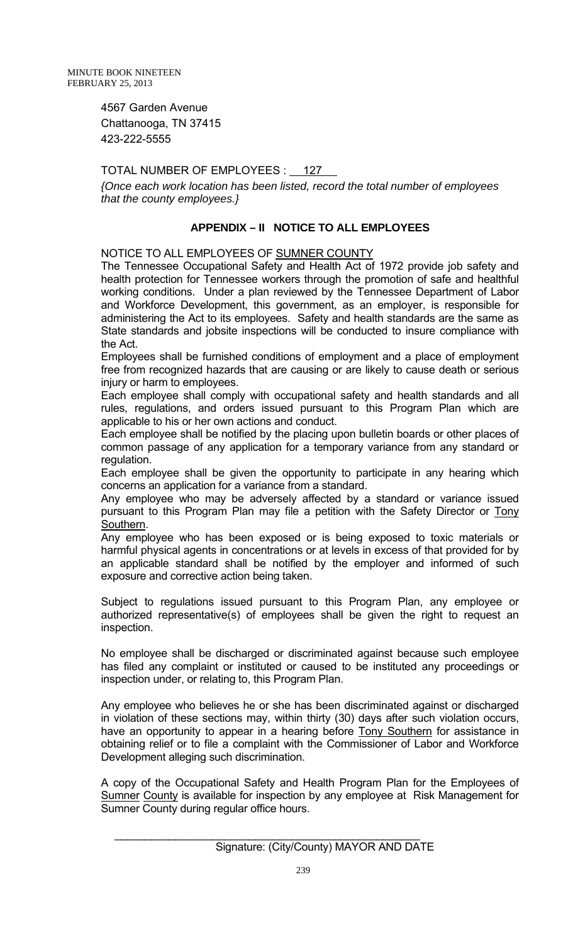4567 Garden Avenue Chattanooga, TN 37415 423-222-5555

# TOTAL NUMBER OF EMPLOYEES : 127

*{Once each work location has been listed, record the total number of employees that the county employees.}*

# **APPENDIX – II NOTICE TO ALL EMPLOYEES**

NOTICE TO ALL EMPLOYEES OF SUMNER COUNTY

The Tennessee Occupational Safety and Health Act of 1972 provide job safety and health protection for Tennessee workers through the promotion of safe and healthful working conditions. Under a plan reviewed by the Tennessee Department of Labor and Workforce Development, this government, as an employer, is responsible for administering the Act to its employees. Safety and health standards are the same as State standards and jobsite inspections will be conducted to insure compliance with the Act.

Employees shall be furnished conditions of employment and a place of employment free from recognized hazards that are causing or are likely to cause death or serious injury or harm to employees.

Each employee shall comply with occupational safety and health standards and all rules, regulations, and orders issued pursuant to this Program Plan which are applicable to his or her own actions and conduct.

Each employee shall be notified by the placing upon bulletin boards or other places of common passage of any application for a temporary variance from any standard or regulation.

Each employee shall be given the opportunity to participate in any hearing which concerns an application for a variance from a standard.

Any employee who may be adversely affected by a standard or variance issued pursuant to this Program Plan may file a petition with the Safety Director or Tony Southern.

Any employee who has been exposed or is being exposed to toxic materials or harmful physical agents in concentrations or at levels in excess of that provided for by an applicable standard shall be notified by the employer and informed of such exposure and corrective action being taken.

Subject to regulations issued pursuant to this Program Plan, any employee or authorized representative(s) of employees shall be given the right to request an inspection.

No employee shall be discharged or discriminated against because such employee has filed any complaint or instituted or caused to be instituted any proceedings or inspection under, or relating to, this Program Plan.

Any employee who believes he or she has been discriminated against or discharged in violation of these sections may, within thirty (30) days after such violation occurs, have an opportunity to appear in a hearing before **Tony Southern** for assistance in obtaining relief or to file a complaint with the Commissioner of Labor and Workforce Development alleging such discrimination.

A copy of the Occupational Safety and Health Program Plan for the Employees of Sumner County is available for inspection by any employee at Risk Management for Sumner County during regular office hours.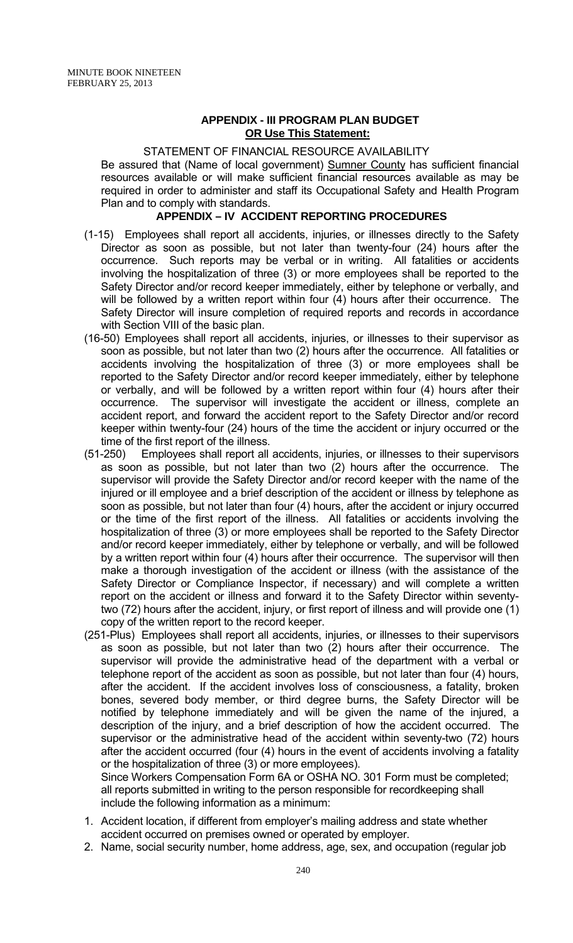### **APPENDIX - III PROGRAM PLAN BUDGET OR Use This Statement:**

#### STATEMENT OF FINANCIAL RESOURCE AVAILABILITY

Be assured that (Name of local government) Sumner County has sufficient financial resources available or will make sufficient financial resources available as may be required in order to administer and staff its Occupational Safety and Health Program Plan and to comply with standards.

### **APPENDIX – IV ACCIDENT REPORTING PROCEDURES**

- (1-15) Employees shall report all accidents, injuries, or illnesses directly to the Safety Director as soon as possible, but not later than twenty-four (24) hours after the occurrence. Such reports may be verbal or in writing. All fatalities or accidents involving the hospitalization of three (3) or more employees shall be reported to the Safety Director and/or record keeper immediately, either by telephone or verbally, and will be followed by a written report within four (4) hours after their occurrence. The Safety Director will insure completion of required reports and records in accordance with Section VIII of the basic plan.
- (16-50) Employees shall report all accidents, injuries, or illnesses to their supervisor as soon as possible, but not later than two (2) hours after the occurrence. All fatalities or accidents involving the hospitalization of three (3) or more employees shall be reported to the Safety Director and/or record keeper immediately, either by telephone or verbally, and will be followed by a written report within four (4) hours after their occurrence. The supervisor will investigate the accident or illness, complete an accident report, and forward the accident report to the Safety Director and/or record keeper within twenty-four (24) hours of the time the accident or injury occurred or the time of the first report of the illness.
- (51-250) Employees shall report all accidents, injuries, or illnesses to their supervisors as soon as possible, but not later than two (2) hours after the occurrence. The supervisor will provide the Safety Director and/or record keeper with the name of the injured or ill employee and a brief description of the accident or illness by telephone as soon as possible, but not later than four (4) hours, after the accident or injury occurred or the time of the first report of the illness. All fatalities or accidents involving the hospitalization of three (3) or more employees shall be reported to the Safety Director and/or record keeper immediately, either by telephone or verbally, and will be followed by a written report within four (4) hours after their occurrence. The supervisor will then make a thorough investigation of the accident or illness (with the assistance of the Safety Director or Compliance Inspector, if necessary) and will complete a written report on the accident or illness and forward it to the Safety Director within seventytwo (72) hours after the accident, injury, or first report of illness and will provide one (1) copy of the written report to the record keeper.
- (251-Plus) Employees shall report all accidents, injuries, or illnesses to their supervisors as soon as possible, but not later than two (2) hours after their occurrence. The supervisor will provide the administrative head of the department with a verbal or telephone report of the accident as soon as possible, but not later than four (4) hours, after the accident. If the accident involves loss of consciousness, a fatality, broken bones, severed body member, or third degree burns, the Safety Director will be notified by telephone immediately and will be given the name of the injured, a description of the injury, and a brief description of how the accident occurred. The supervisor or the administrative head of the accident within seventy-two (72) hours after the accident occurred (four (4) hours in the event of accidents involving a fatality or the hospitalization of three (3) or more employees).

Since Workers Compensation Form 6A or OSHA NO. 301 Form must be completed; all reports submitted in writing to the person responsible for recordkeeping shall include the following information as a minimum:

- 1. Accident location, if different from employer's mailing address and state whether accident occurred on premises owned or operated by employer.
- 2. Name, social security number, home address, age, sex, and occupation (regular job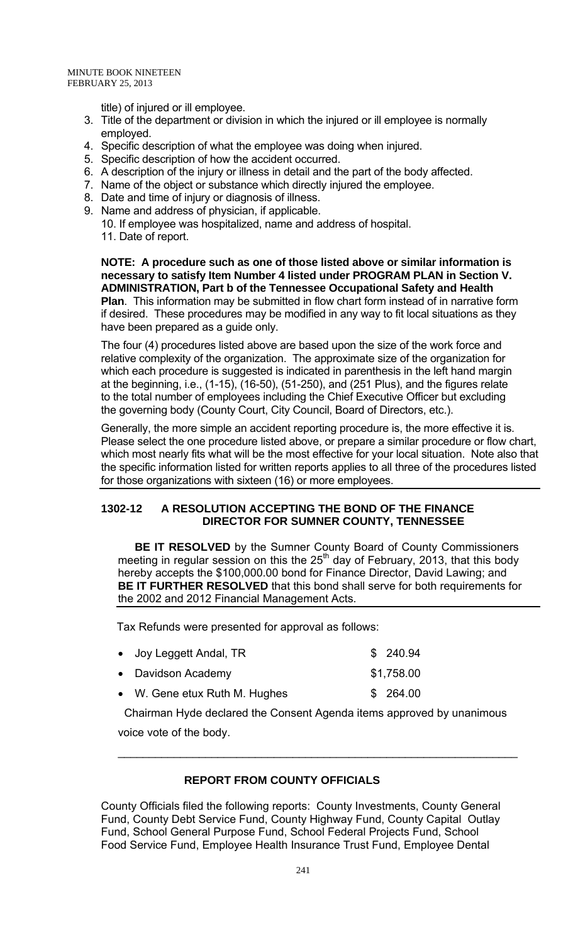title) of injured or ill employee.

- 3. Title of the department or division in which the injured or ill employee is normally employed.
- 4. Specific description of what the employee was doing when injured.
- 5. Specific description of how the accident occurred.
- 6. A description of the injury or illness in detail and the part of the body affected.
- 7. Name of the object or substance which directly injured the employee.
- 8. Date and time of injury or diagnosis of illness.
- 9. Name and address of physician, if applicable.

10. If employee was hospitalized, name and address of hospital. 11. Date of report.

**NOTE: A procedure such as one of those listed above or similar information is necessary to satisfy Item Number 4 listed under PROGRAM PLAN in Section V. ADMINISTRATION, Part b of the Tennessee Occupational Safety and Health Plan**. This information may be submitted in flow chart form instead of in narrative form if desired. These procedures may be modified in any way to fit local situations as they have been prepared as a guide only.

The four (4) procedures listed above are based upon the size of the work force and relative complexity of the organization. The approximate size of the organization for which each procedure is suggested is indicated in parenthesis in the left hand margin at the beginning, i.e., (1-15), (16-50), (51-250), and (251 Plus), and the figures relate to the total number of employees including the Chief Executive Officer but excluding the governing body (County Court, City Council, Board of Directors, etc.).

Generally, the more simple an accident reporting procedure is, the more effective it is. Please select the one procedure listed above, or prepare a similar procedure or flow chart, which most nearly fits what will be the most effective for your local situation. Note also that the specific information listed for written reports applies to all three of the procedures listed for those organizations with sixteen (16) or more employees.

### **1302-12 A RESOLUTION ACCEPTING THE BOND OF THE FINANCE DIRECTOR FOR SUMNER COUNTY, TENNESSEE**

**BE IT RESOLVED** by the Sumner County Board of County Commissioners meeting in regular session on this the 25<sup>th</sup> day of February, 2013, that this body hereby accepts the \$100,000.00 bond for Finance Director, David Lawing; and **BE IT FURTHER RESOLVED** that this bond shall serve for both requirements for the 2002 and 2012 Financial Management Acts.

Tax Refunds were presented for approval as follows:

| • Joy Leggett Andal, TR       | \$240.94   |
|-------------------------------|------------|
| • Davidson Academy            | \$1,758.00 |
| • W. Gene etux Ruth M. Hughes | \$264.00   |

 Chairman Hyde declared the Consent Agenda items approved by unanimous voice vote of the body.

\_\_\_\_\_\_\_\_\_\_\_\_\_\_\_\_\_\_\_\_\_\_\_\_\_\_\_\_\_\_\_\_\_\_\_\_\_\_\_\_\_\_\_\_\_\_\_\_\_\_\_\_\_\_\_\_\_\_\_\_\_\_\_\_

## **REPORT FROM COUNTY OFFICIALS**

County Officials filed the following reports: County Investments, County General Fund, County Debt Service Fund, County Highway Fund, County Capital Outlay Fund, School General Purpose Fund, School Federal Projects Fund, School Food Service Fund, Employee Health Insurance Trust Fund, Employee Dental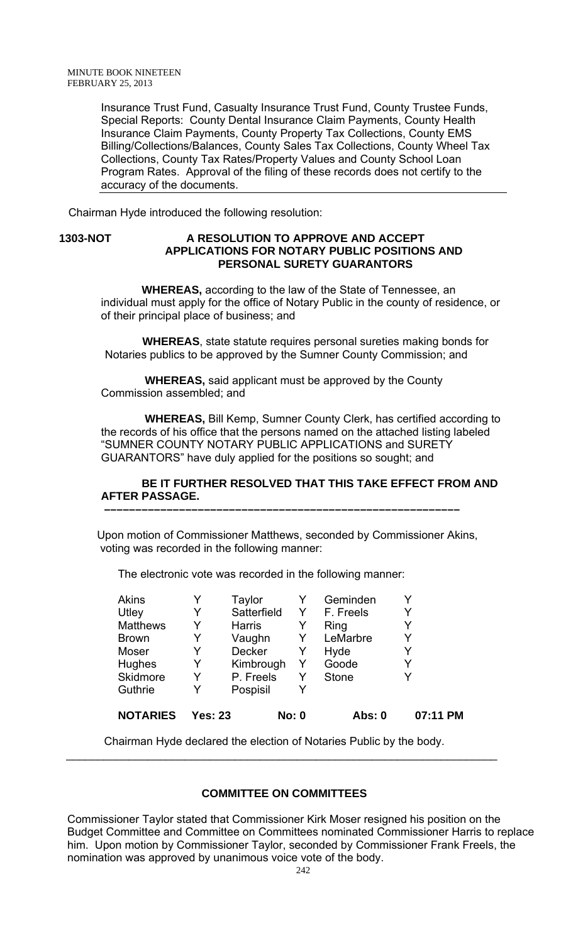Insurance Trust Fund, Casualty Insurance Trust Fund, County Trustee Funds, Special Reports: County Dental Insurance Claim Payments, County Health Insurance Claim Payments, County Property Tax Collections, County EMS Billing/Collections/Balances, County Sales Tax Collections, County Wheel Tax Collections, County Tax Rates/Property Values and County School Loan Program Rates. Approval of the filing of these records does not certify to the accuracy of the documents.

Chairman Hyde introduced the following resolution:

### **1303-NOT A RESOLUTION TO APPROVE AND ACCEPT APPLICATIONS FOR NOTARY PUBLIC POSITIONS AND PERSONAL SURETY GUARANTORS**

 **WHEREAS,** according to the law of the State of Tennessee, an individual must apply for the office of Notary Public in the county of residence, or of their principal place of business; and

 **WHEREAS**, state statute requires personal sureties making bonds for Notaries publics to be approved by the Sumner County Commission; and

 **WHEREAS,** said applicant must be approved by the County Commission assembled; and

 **WHEREAS,** Bill Kemp, Sumner County Clerk, has certified according to the records of his office that the persons named on the attached listing labeled "SUMNER COUNTY NOTARY PUBLIC APPLICATIONS and SURETY GUARANTORS" have duly applied for the positions so sought; and

## **BE IT FURTHER RESOLVED THAT THIS TAKE EFFECT FROM AND AFTER PASSAGE.**

Upon motion of Commissioner Matthews, seconded by Commissioner Akins, voting was recorded in the following manner:

 **–––––––––––––––––––––––––––––––––––––––––––––––––––––––––**

The electronic vote was recorded in the following manner:

| <b>NOTARIES</b> | Yes: 23 |               | <b>No: 0</b> | Abs: 0       | 07:11 PM |
|-----------------|---------|---------------|--------------|--------------|----------|
| Guthrie         | Y       | Pospisil      | Y            |              |          |
| Skidmore        | Y       | P. Freels     | Y            | <b>Stone</b> |          |
| <b>Hughes</b>   | Y       | Kimbrough     | Y            | Goode        | Y        |
| Moser           | Y       | <b>Decker</b> | Y            | Hyde         | Y        |
| <b>Brown</b>    | Y       | Vaughn        | Y            | LeMarbre     | Y        |
| <b>Matthews</b> | Y       | Harris        | Y            | Ring         |          |
| Utley           | Y       | Satterfield   | Y            | F. Freels    | Y        |
| <b>Akins</b>    |         | Taylor        |              | Geminden     |          |

Chairman Hyde declared the election of Notaries Public by the body.

\_\_\_\_\_\_\_\_\_\_\_\_\_\_\_\_\_\_\_\_\_\_\_\_\_\_\_\_\_\_\_\_\_\_\_\_\_\_\_\_\_\_\_\_\_\_\_\_\_\_\_\_\_\_\_\_\_\_\_\_\_\_\_\_\_\_\_\_\_

## **COMMITTEE ON COMMITTEES**

Commissioner Taylor stated that Commissioner Kirk Moser resigned his position on the Budget Committee and Committee on Committees nominated Commissioner Harris to replace him. Upon motion by Commissioner Taylor, seconded by Commissioner Frank Freels, the nomination was approved by unanimous voice vote of the body.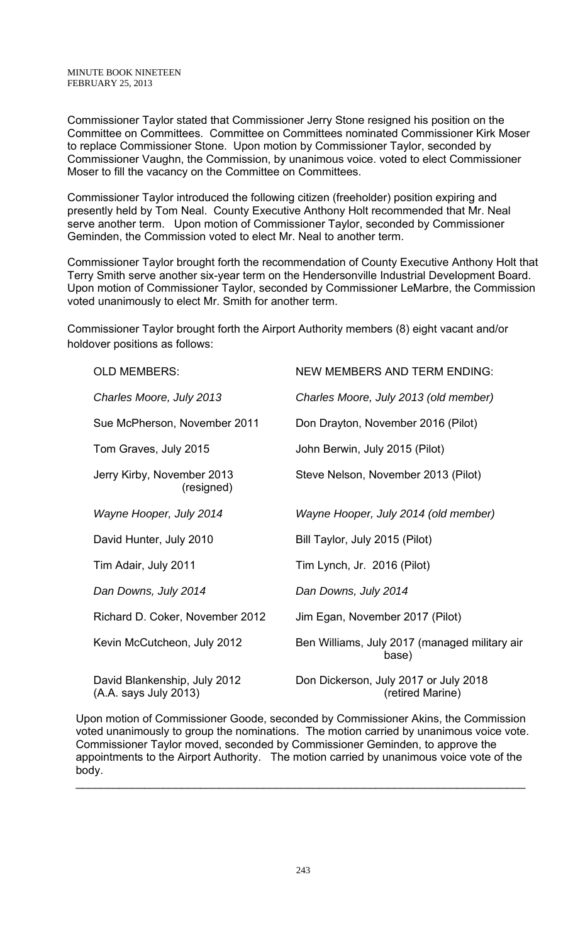Commissioner Taylor stated that Commissioner Jerry Stone resigned his position on the Committee on Committees. Committee on Committees nominated Commissioner Kirk Moser to replace Commissioner Stone. Upon motion by Commissioner Taylor, seconded by Commissioner Vaughn, the Commission, by unanimous voice. voted to elect Commissioner Moser to fill the vacancy on the Committee on Committees.

Commissioner Taylor introduced the following citizen (freeholder) position expiring and presently held by Tom Neal. County Executive Anthony Holt recommended that Mr. Neal serve another term. Upon motion of Commissioner Taylor, seconded by Commissioner Geminden, the Commission voted to elect Mr. Neal to another term.

Commissioner Taylor brought forth the recommendation of County Executive Anthony Holt that Terry Smith serve another six-year term on the Hendersonville Industrial Development Board. Upon motion of Commissioner Taylor, seconded by Commissioner LeMarbre, the Commission voted unanimously to elect Mr. Smith for another term.

Commissioner Taylor brought forth the Airport Authority members (8) eight vacant and/or holdover positions as follows:

| <b>OLD MEMBERS:</b>                                   | <b>NEW MEMBERS AND TERM ENDING:</b>                       |
|-------------------------------------------------------|-----------------------------------------------------------|
| Charles Moore, July 2013                              | Charles Moore, July 2013 (old member)                     |
| Sue McPherson, November 2011                          | Don Drayton, November 2016 (Pilot)                        |
| Tom Graves, July 2015                                 | John Berwin, July 2015 (Pilot)                            |
| Jerry Kirby, November 2013<br>(resigned)              | Steve Nelson, November 2013 (Pilot)                       |
| Wayne Hooper, July 2014                               | Wayne Hooper, July 2014 (old member)                      |
| David Hunter, July 2010                               | Bill Taylor, July 2015 (Pilot)                            |
| Tim Adair, July 2011                                  | Tim Lynch, Jr. 2016 (Pilot)                               |
| Dan Downs, July 2014                                  | Dan Downs, July 2014                                      |
| Richard D. Coker, November 2012                       | Jim Egan, November 2017 (Pilot)                           |
| Kevin McCutcheon, July 2012                           | Ben Williams, July 2017 (managed military air<br>base)    |
| David Blankenship, July 2012<br>(A.A. says July 2013) | Don Dickerson, July 2017 or July 2018<br>(retired Marine) |

Upon motion of Commissioner Goode, seconded by Commissioner Akins, the Commission voted unanimously to group the nominations. The motion carried by unanimous voice vote. Commissioner Taylor moved, seconded by Commissioner Geminden, to approve the appointments to the Airport Authority. The motion carried by unanimous voice vote of the body.

 $\_$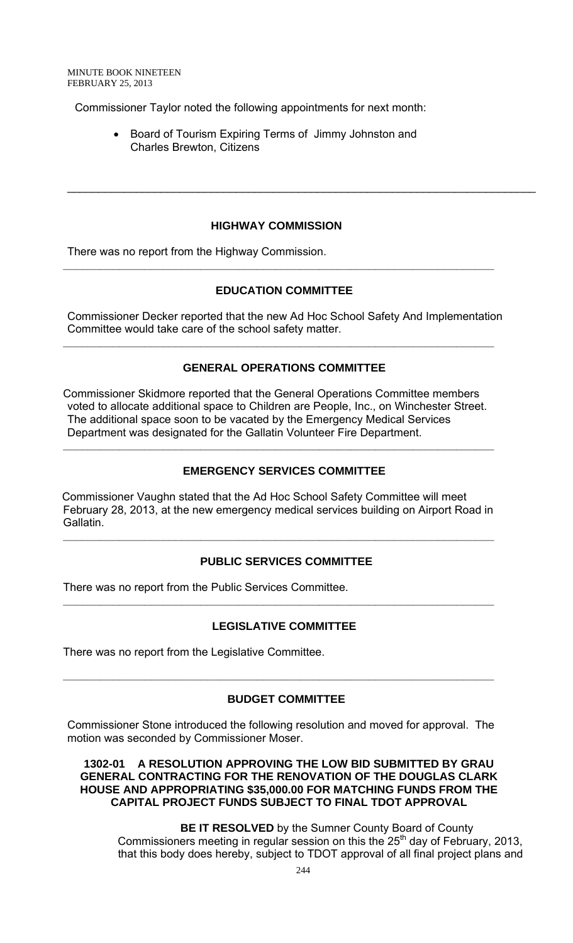Commissioner Taylor noted the following appointments for next month:

• Board of Tourism Expiring Terms of Jimmy Johnston and Charles Brewton, Citizens

#### **HIGHWAY COMMISSION**

**\_\_\_\_\_\_\_\_\_\_\_\_\_\_\_\_\_\_\_\_\_\_\_\_\_\_\_\_\_\_\_\_\_\_\_\_\_\_\_\_\_\_\_\_\_\_\_\_\_\_\_\_\_\_\_\_\_\_\_\_\_\_\_\_\_\_\_\_\_** 

\_\_\_\_\_\_\_\_\_\_\_\_\_\_\_\_\_\_\_\_\_\_\_\_\_\_\_\_\_\_\_\_\_\_\_\_\_\_\_\_\_\_\_\_\_\_\_\_\_\_\_\_\_\_\_\_\_\_\_\_\_\_\_\_\_\_\_\_\_\_\_\_\_\_\_

There was no report from the Highway Commission.

### **EDUCATION COMMITTEE**

Commissioner Decker reported that the new Ad Hoc School Safety And Implementation Committee would take care of the school safety matter.

**\_\_\_\_\_\_\_\_\_\_\_\_\_\_\_\_\_\_\_\_\_\_\_\_\_\_\_\_\_\_\_\_\_\_\_\_\_\_\_\_\_\_\_\_\_\_\_\_\_\_\_\_\_\_\_\_\_\_\_\_\_\_\_\_\_\_\_\_\_** 

### **GENERAL OPERATIONS COMMITTEE**

Commissioner Skidmore reported that the General Operations Committee members voted to allocate additional space to Children are People, Inc., on Winchester Street. The additional space soon to be vacated by the Emergency Medical Services Department was designated for the Gallatin Volunteer Fire Department.

#### **EMERGENCY SERVICES COMMITTEE**

**\_\_\_\_\_\_\_\_\_\_\_\_\_\_\_\_\_\_\_\_\_\_\_\_\_\_\_\_\_\_\_\_\_\_\_\_\_\_\_\_\_\_\_\_\_\_\_\_\_\_\_\_\_\_\_\_\_\_\_\_\_\_\_\_\_\_\_\_\_** 

 Commissioner Vaughn stated that the Ad Hoc School Safety Committee will meet February 28, 2013, at the new emergency medical services building on Airport Road in Gallatin.

**\_\_\_\_\_\_\_\_\_\_\_\_\_\_\_\_\_\_\_\_\_\_\_\_\_\_\_\_\_\_\_\_\_\_\_\_\_\_\_\_\_\_\_\_\_\_\_\_\_\_\_\_\_\_\_\_\_\_\_\_\_\_\_\_\_\_\_\_\_** 

### **PUBLIC SERVICES COMMITTEE**

There was no report from the Public Services Committee.

### **LEGISLATIVE COMMITTEE**

**\_\_\_\_\_\_\_\_\_\_\_\_\_\_\_\_\_\_\_\_\_\_\_\_\_\_\_\_\_\_\_\_\_\_\_\_\_\_\_\_\_\_\_\_\_\_\_\_\_\_\_\_\_\_\_\_\_\_\_\_\_\_\_\_\_\_\_\_\_** 

There was no report from the Legislative Committee.

### **BUDGET COMMITTEE**

**\_\_\_\_\_\_\_\_\_\_\_\_\_\_\_\_\_\_\_\_\_\_\_\_\_\_\_\_\_\_\_\_\_\_\_\_\_\_\_\_\_\_\_\_\_\_\_\_\_\_\_\_\_\_\_\_\_\_\_\_\_\_\_\_\_\_\_\_\_** 

Commissioner Stone introduced the following resolution and moved for approval. The motion was seconded by Commissioner Moser.

**1302-01 A RESOLUTION APPROVING THE LOW BID SUBMITTED BY GRAU GENERAL CONTRACTING FOR THE RENOVATION OF THE DOUGLAS CLARK HOUSE AND APPROPRIATING \$35,000.00 FOR MATCHING FUNDS FROM THE CAPITAL PROJECT FUNDS SUBJECT TO FINAL TDOT APPROVAL** 

 **BE IT RESOLVED** by the Sumner County Board of County Commissioners meeting in regular session on this the 25<sup>th</sup> day of February, 2013, that this body does hereby, subject to TDOT approval of all final project plans and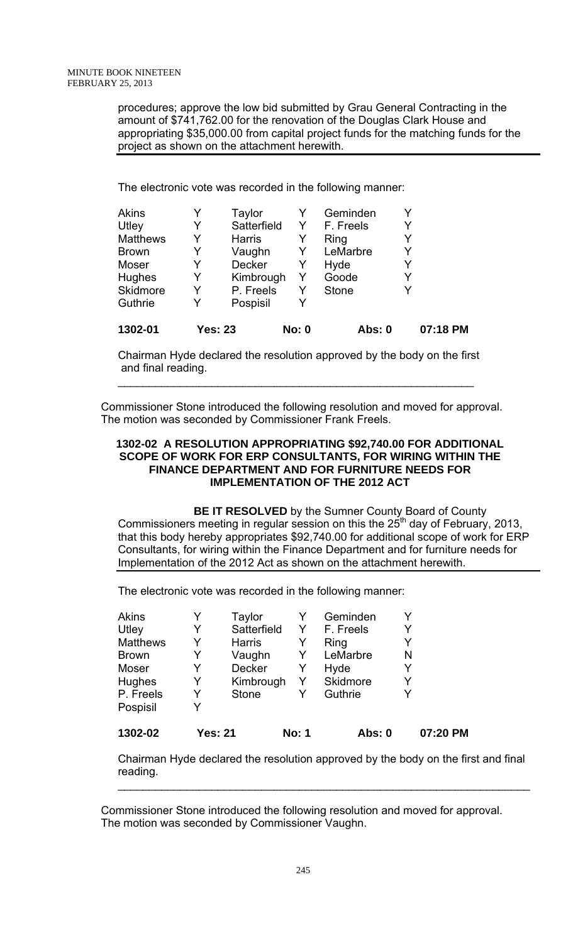procedures; approve the low bid submitted by Grau General Contracting in the amount of \$741,762.00 for the renovation of the Douglas Clark House and appropriating \$35,000.00 from capital project funds for the matching funds for the project as shown on the attachment herewith.

The electronic vote was recorded in the following manner:

| 1302-01         |   | Yes: 23       | <b>No: 0</b> | Abs: 0       |   | 07:18 PM |
|-----------------|---|---------------|--------------|--------------|---|----------|
| Guthrie         | Y | Pospisil      |              |              |   |          |
| <b>Skidmore</b> | Y | P. Freels     | Y            | <b>Stone</b> | Y |          |
| <b>Hughes</b>   | Y | Kimbrough     | Y            | Goode        | Y |          |
| Moser           | Y | <b>Decker</b> | Y            | Hyde         | Y |          |
| <b>Brown</b>    | Y | Vaughn        | Y            | LeMarbre     | Y |          |
| <b>Matthews</b> | Y | Harris        | Y            | Ring         | Y |          |
| Utley           | Y | Satterfield   | Y            | F. Freels    | Y |          |
| <b>Akins</b>    |   | Taylor        |              | Geminden     | Y |          |

Chairman Hyde declared the resolution approved by the body on the first and final reading.

\_\_\_\_\_\_\_\_\_\_\_\_\_\_\_\_\_\_\_\_\_\_\_\_\_\_\_\_\_\_\_\_\_\_\_\_\_\_\_\_\_\_\_\_\_\_\_\_\_\_\_\_\_\_\_\_\_

Commissioner Stone introduced the following resolution and moved for approval. The motion was seconded by Commissioner Frank Freels.

### **1302-02 A RESOLUTION APPROPRIATING \$92,740.00 FOR ADDITIONAL SCOPE OF WORK FOR ERP CONSULTANTS, FOR WIRING WITHIN THE FINANCE DEPARTMENT AND FOR FURNITURE NEEDS FOR IMPLEMENTATION OF THE 2012 ACT**

**BE IT RESOLVED** by the Sumner County Board of County Commissioners meeting in regular session on this the  $25<sup>th</sup>$  day of February, 2013, that this body hereby appropriates \$92,740.00 for additional scope of work for ERP Consultants, for wiring within the Finance Department and for furniture needs for Implementation of the 2012 Act as shown on the attachment herewith.

The electronic vote was recorded in the following manner:

| <b>Akins</b>    | Y | Taylor         |              | Geminden  |   |          |
|-----------------|---|----------------|--------------|-----------|---|----------|
| Utley           |   | Satterfield    |              | F. Freels | Y |          |
| <b>Matthews</b> |   | <b>Harris</b>  |              | Ring      | Y |          |
| <b>Brown</b>    | Y | Vaughn         |              | LeMarbre  | N |          |
| Moser           | Y | <b>Decker</b>  | Y            | Hyde      | Y |          |
| <b>Hughes</b>   | Y | Kimbrough      |              | Skidmore  | Y |          |
| P. Freels       | Y | <b>Stone</b>   |              | Guthrie   | Y |          |
| Pospisil        |   |                |              |           |   |          |
| 1302-02         |   | <b>Yes: 21</b> | <b>No: 1</b> | Abs: 0    |   | 07:20 PM |

Chairman Hyde declared the resolution approved by the body on the first and final reading.

 $\mathcal{L}_\text{max} = \mathcal{L}_\text{max} = \mathcal{L}_\text{max} = \mathcal{L}_\text{max} = \mathcal{L}_\text{max} = \mathcal{L}_\text{max} = \mathcal{L}_\text{max} = \mathcal{L}_\text{max} = \mathcal{L}_\text{max} = \mathcal{L}_\text{max} = \mathcal{L}_\text{max} = \mathcal{L}_\text{max} = \mathcal{L}_\text{max} = \mathcal{L}_\text{max} = \mathcal{L}_\text{max} = \mathcal{L}_\text{max} = \mathcal{L}_\text{max} = \mathcal{L}_\text{max} = \mathcal{$ 

Commissioner Stone introduced the following resolution and moved for approval. The motion was seconded by Commissioner Vaughn.